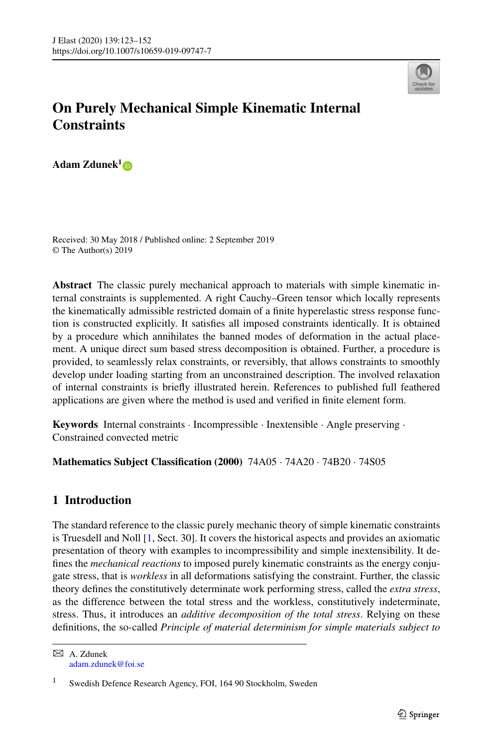

# **On Purely Mechanical Simple Kinematic Internal Constraints**

Adam Zdunek<sup>1</sup>

Received: 30 May 2018 / Published online: 2 September 2019 © The Author(s) 2019

**Abstract** The classic purely mechanical approach to materials with simple kinematic internal constraints is supplemented. A right Cauchy–Green tensor which locally represents the kinematically admissible restricted domain of a finite hyperelastic stress response function is constructed explicitly. It satisfies all imposed constraints identically. It is obtained by a procedure which annihilates the banned modes of deformation in the actual placement. A unique direct sum based stress decomposition is obtained. Further, a procedure is provided, to seamlessly relax constraints, or reversibly, that allows constraints to smoothly develop under loading starting from an unconstrained description. The involved relaxation of internal constraints is briefly illustrated herein. References to published full feathered applications are given where the method is used and verified in finite element form.

**Keywords** Internal constraints · Incompressible · Inextensible · Angle preserving · Constrained convected metric

**Mathematics Subject Classification (2000)** 74A05 · 74A20 · 74B20 · 74S05

# **1 Introduction**

The standard reference to the classic purely mechanic theory of simple kinematic constraints is Truesdell and Noll [[1,](#page-28-0) Sect. 30]. It covers the historical aspects and provides an axiomatic presentation of theory with examples to incompressibility and simple inextensibility. It defines the *mechanical reactions* to imposed purely kinematic constraints as the energy conjugate stress, that is *workless* in all deformations satisfying the constraint. Further, the classic theory defines the constitutively determinate work performing stress, called the *extra stress*, as the difference between the total stress and the workless, constitutively indeterminate, stress. Thus, it introduces an *additive decomposition of the total stress*. Relying on these definitions, the so-called *Principle of material determinism for simple materials subject to*

 $\boxtimes$  A. Zdunek [adam.zdunek@foi.se](mailto:adam.zdunek@foi.se)

<sup>&</sup>lt;sup>1</sup> Swedish Defence Research Agency, FOI, 164 90 Stockholm, Sweden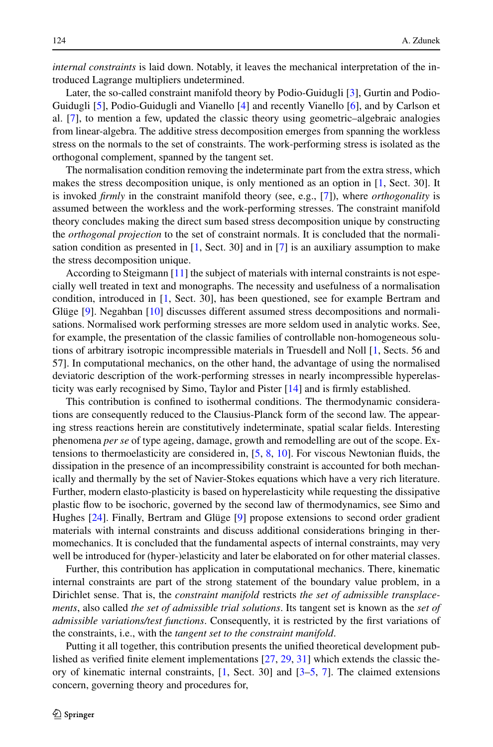*internal constraints* is laid down. Notably, it leaves the mechanical interpretation of the introduced Lagrange multipliers undetermined.

Later, the so-called constraint manifold theory by Podio-Guidugli [[3\]](#page-28-1), Gurtin and Podio-Guidugli [\[5\]](#page-28-2), Podio-Guidugli and Vianello [[4](#page-28-3)] and recently Vianello [\[6](#page-28-4)], and by Carlson et al. [[7](#page-28-5)], to mention a few, updated the classic theory using geometric–algebraic analogies from linear-algebra. The additive stress decomposition emerges from spanning the workless stress on the normals to the set of constraints. The work-performing stress is isolated as the orthogonal complement, spanned by the tangent set.

The normalisation condition removing the indeterminate part from the extra stress, which makes the stress decomposition unique, is only mentioned as an option in [\[1,](#page-28-0) Sect. 30]. It is invoked *firmly* in the constraint manifold theory (see, e.g., [[7](#page-28-5)]), where *orthogonality* is assumed between the workless and the work-performing stresses. The constraint manifold theory concludes making the direct sum based stress decomposition unique by constructing the *orthogonal projection* to the set of constraint normals. It is concluded that the normalisation condition as presented in  $[1,$  Sect. 30 and in  $[7]$  $[7]$  is an auxiliary assumption to make the stress decomposition unique.

According to Steigmann [\[11\]](#page-28-6) the subject of materials with internal constraints is not especially well treated in text and monographs. The necessity and usefulness of a normalisation condition, introduced in [[1](#page-28-0), Sect. 30], has been questioned, see for example Bertram and Glüge [[9\]](#page-28-7). Negahban [\[10\]](#page-28-8) discusses different assumed stress decompositions and normalisations. Normalised work performing stresses are more seldom used in analytic works. See, for example, the presentation of the classic families of controllable non-homogeneous solutions of arbitrary isotropic incompressible materials in Truesdell and Noll [\[1](#page-28-0), Sects. 56 and 57]. In computational mechanics, on the other hand, the advantage of using the normalised deviatoric description of the work-performing stresses in nearly incompressible hyperelasticity was early recognised by Simo, Taylor and Pister [[14](#page-28-9)] and is firmly established.

This contribution is confined to isothermal conditions. The thermodynamic considerations are consequently reduced to the Clausius-Planck form of the second law. The appearing stress reactions herein are constitutively indeterminate, spatial scalar fields. Interesting phenomena *per se* of type ageing, damage, growth and remodelling are out of the scope. Extensions to thermoelasticity are considered in, [\[5](#page-28-2), [8,](#page-28-10) [10](#page-28-8)]. For viscous Newtonian fluids, the dissipation in the presence of an incompressibility constraint is accounted for both mechanically and thermally by the set of Navier-Stokes equations which have a very rich literature. Further, modern elasto-plasticity is based on hyperelasticity while requesting the dissipative plastic flow to be isochoric, governed by the second law of thermodynamics, see Simo and Hughes [[24](#page-29-0)]. Finally, Bertram and Glüge [[9\]](#page-28-7) propose extensions to second order gradient materials with internal constraints and discuss additional considerations bringing in thermomechanics. It is concluded that the fundamental aspects of internal constraints, may very well be introduced for (hyper-)elasticity and later be elaborated on for other material classes.

Further, this contribution has application in computational mechanics. There, kinematic internal constraints are part of the strong statement of the boundary value problem, in a Dirichlet sense. That is, the *constraint manifold* restricts *the set of admissible transplacements*, also called *the set of admissible trial solutions*. Its tangent set is known as the *set of admissible variations/test functions*. Consequently, it is restricted by the first variations of the constraints, i.e., with the *tangent set to the constraint manifold*.

Putting it all together, this contribution presents the unified theoretical development published as verified finite element implementations [\[27,](#page-29-1) [29,](#page-29-2) [31](#page-29-3)] which extends the classic theory of kinematic internal constraints, [[1](#page-28-0), Sect. 30] and [\[3–](#page-28-1)[5](#page-28-2), [7\]](#page-28-5). The claimed extensions concern, governing theory and procedures for,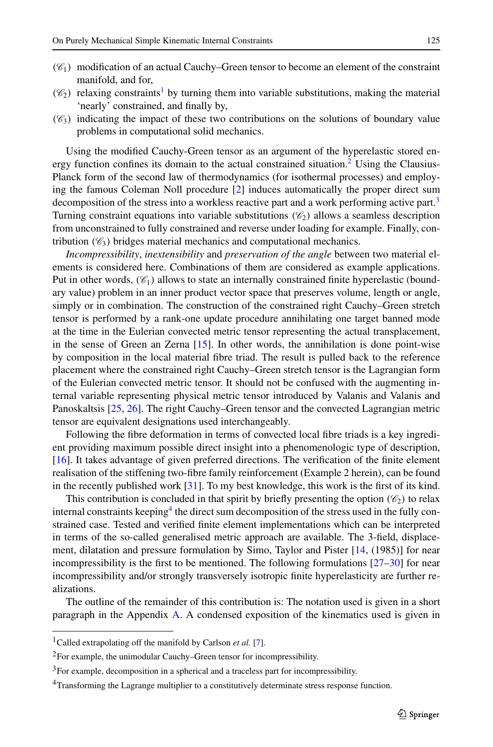- $(\mathscr{C}_1)$  modification of an actual Cauchy–Green tensor to become an element of the constraint manifold, and for,
- $(\mathscr{C}_2)$  relaxing constraints<sup>[1](#page-2-0)</sup> by turning them into variable substitutions, making the material 'nearly' constrained, and finally by,
- $(\mathscr{C}_3)$  indicating the impact of these two contributions on the solutions of boundary value problems in computational solid mechanics.

Using the modified Cauchy-Green tensor as an argument of the hyperelastic stored energy function confines its domain to the actual constrained situation.<sup>2</sup> Using the Clausius-Planck form of the second law of thermodynamics (for isothermal processes) and employing the famous Coleman Noll procedure [\[2](#page-28-11)] induces automatically the proper direct sum decomposition of the stress into a workless reactive part and a work performing active part.<sup>[3](#page-2-2)</sup> Turning constraint equations into variable substitutions  $(\mathscr{C}_2)$  allows a seamless description from unconstrained to fully constrained and reverse under loading for example. Finally, contribution  $(\mathcal{C}_3)$  bridges material mechanics and computational mechanics.

*Incompressibility*, *inextensibility* and *preservation of the angle* between two material elements is considered here. Combinations of them are considered as example applications. Put in other words,  $(\mathscr{C}_1)$  allows to state an internally constrained finite hyperelastic (boundary value) problem in an inner product vector space that preserves volume, length or angle, simply or in combination. The construction of the constrained right Cauchy–Green stretch tensor is performed by a rank-one update procedure annihilating one target banned mode at the time in the Eulerian convected metric tensor representing the actual transplacement, in the sense of Green an Zerna [[15](#page-28-12)]. In other words, the annihilation is done point-wise by composition in the local material fibre triad. The result is pulled back to the reference placement where the constrained right Cauchy–Green stretch tensor is the Lagrangian form of the Eulerian convected metric tensor. It should not be confused with the augmenting internal variable representing physical metric tensor introduced by Valanis and Valanis and Panoskaltsis [\[25](#page-29-4), [26\]](#page-29-5). The right Cauchy–Green tensor and the convected Lagrangian metric tensor are equivalent designations used interchangeably.

Following the fibre deformation in terms of convected local fibre triads is a key ingredient providing maximum possible direct insight into a phenomenologic type of description, [[16](#page-28-13)]. It takes advantage of given preferred directions. The verification of the finite element realisation of the stiffening two-fibre family reinforcement (Example 2 herein), can be found in the recently published work [\[31\]](#page-29-3). To my best knowledge, this work is the first of its kind.

<span id="page-2-0"></span>This contribution is concluded in that spirit by briefly presenting the option  $(\mathscr{C}_2)$  to relax internal constraints keeping<sup>[4](#page-2-3)</sup> the direct sum decomposition of the stress used in the fully constrained case. Tested and verified finite element implementations which can be interpreted in terms of the so-called generalised metric approach are available. The 3-field, displacement, dilatation and pressure formulation by Simo, Taylor and Pister [[14](#page-28-9), (1985)] for near incompressibility is the first to be mentioned. The following formulations  $[27-30]$  $[27-30]$  for near incompressibility and/or strongly transversely isotropic finite hyperelasticity are further realizations.

<span id="page-2-3"></span><span id="page-2-2"></span><span id="page-2-1"></span>The outline of the remainder of this contribution is: The notation used is given in a short paragraph in the Appendix [A](#page-25-0). A condensed exposition of the kinematics used is given in

<sup>1</sup>Called extrapolating off the manifold by Carlson *et al.* [\[7](#page-28-5)].

<sup>2</sup>For example, the unimodular Cauchy–Green tensor for incompressibility.

<sup>&</sup>lt;sup>3</sup>For example, decomposition in a spherical and a traceless part for incompressibility.

<sup>&</sup>lt;sup>4</sup>Transforming the Lagrange multiplier to a constitutively determinate stress response function.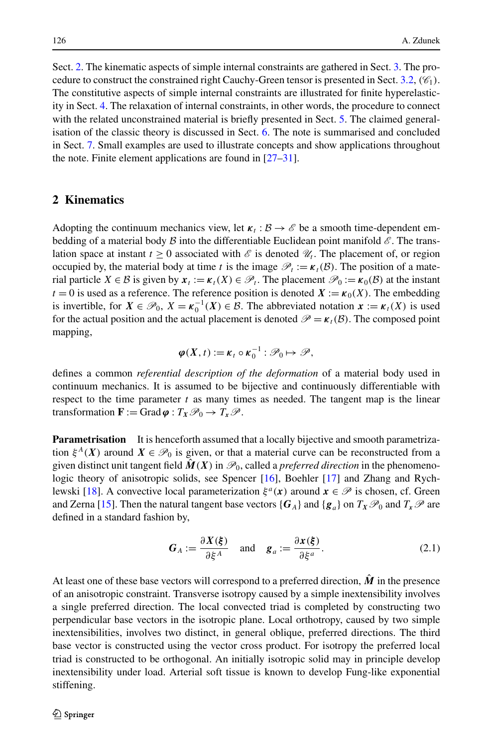<span id="page-3-0"></span>Sect. [2](#page-3-0). The kinematic aspects of simple internal constraints are gathered in Sect. [3.](#page-5-0) The pro-cedure to construct the constrained right Cauchy-Green tensor is presented in Sect. [3.2,](#page-9-0)  $(\mathscr{C}_1)$ . The constitutive aspects of simple internal constraints are illustrated for finite hyperelasticity in Sect. [4.](#page-16-0) The relaxation of internal constraints, in other words, the procedure to connect with the related unconstrained material is briefly presented in Sect. [5](#page-18-0). The claimed generalisation of the classic theory is discussed in Sect. [6](#page-22-0). The note is summarised and concluded in Sect. [7](#page-24-0). Small examples are used to illustrate concepts and show applications throughout the note. Finite element applications are found in  $[27-31]$  $[27-31]$  $[27-31]$ .

## **2 Kinematics**

Adopting the continuum mechanics view, let  $\kappa_t : \mathcal{B} \to \mathcal{E}$  be a smooth time-dependent embedding of a material body  $\beta$  into the differentiable Euclidean point manifold  $\mathscr{E}$ . The translation space at instant  $t \ge 0$  associated with  $\mathscr E$  is denoted  $\mathscr U_t$ . The placement of, or region occupied by, the material body at time *t* is the image  $\mathscr{P}_t := \kappa_t(\mathcal{B})$ . The position of a material particle  $X \in \mathcal{B}$  is given by  $x_t := \kappa_t(X) \in \mathcal{P}_t$ . The placement  $\mathcal{P}_0 := \kappa_0(\mathcal{B})$  at the instant  $t = 0$  is used as a reference. The reference position is denoted  $X := \kappa_0(X)$ . The embedding is invertible, for  $X \in \mathcal{P}_0$ ,  $X = \kappa_0^{-1}(X) \in \mathcal{B}$ . The abbreviated notation  $x := \kappa_t(X)$  is used for the actual position and the actual placement is denoted  $\mathcal{P} = \kappa_t(\mathcal{B})$ . The composed point mapping,

$$
\boldsymbol{\varphi}(X,t) := \boldsymbol{\kappa}_t \circ \boldsymbol{\kappa}_0^{-1} : \mathscr{P}_0 \mapsto \mathscr{P},
$$

defines a common *referential description of the deformation* of a material body used in continuum mechanics. It is assumed to be bijective and continuously differentiable with respect to the time parameter  $t$  as many times as needed. The tangent map is the linear transformation  $\mathbf{F} := \text{Grad}\,\boldsymbol{\varphi} : T_X\mathscr{P}_0 \to T_X\mathscr{P}.$ 

**Parametrisation** It is henceforth assumed that a locally bijective and smooth parametrization  $\xi^A(X)$  around  $X \in \mathcal{P}_0$  is given, or that a material curve can be reconstructed from a given distinct unit tangent field  $\dot{M}(X)$  in  $\mathcal{P}_0$ , called a *preferred direction* in the phenomenologic theory of anisotropic solids, see Spencer [\[16\]](#page-28-13), Boehler [[17](#page-28-14)] and Zhang and Rych-lewski [\[18\]](#page-28-15). A convective local parameterization  $ξ<sup>a</sup>(*x*)$  around  *is chosen, cf. Green* and Zerna [[15](#page-28-12)]. Then the natural tangent base vectors  ${G_A}$  and  ${g_a}$  on  $T_X \mathcal{P}_0$  and  $T_X \mathcal{P}$  are defined in a standard fashion by,

$$
G_A := \frac{\partial X(\xi)}{\partial \xi^A} \quad \text{and} \quad g_a := \frac{\partial x(\xi)}{\partial \xi^a}.
$$
 (2.1)

At least one of these base vectors will correspond to a preferred direction,  $\hat{M}$  in the presence of an anisotropic constraint. Transverse isotropy caused by a simple inextensibility involves a single preferred direction. The local convected triad is completed by constructing two perpendicular base vectors in the isotropic plane. Local orthotropy, caused by two simple inextensibilities, involves two distinct, in general oblique, preferred directions. The third base vector is constructed using the vector cross product. For isotropy the preferred local triad is constructed to be orthogonal. An initially isotropic solid may in principle develop inextensibility under load. Arterial soft tissue is known to develop Fung-like exponential stiffening.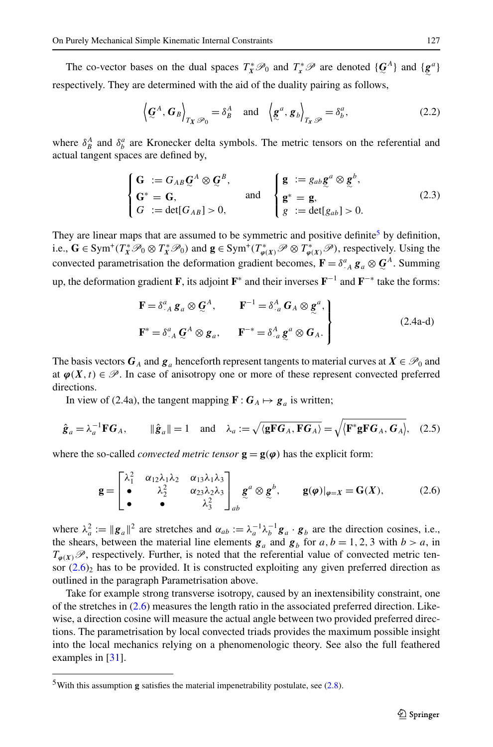The co-vector bases on the dual spaces  $T_x^* \mathcal{P}_0$  and  $T_x^* \mathcal{P}$  are denoted  $\{Q^A\}$  and  $\{g^a\}$ respectively. They are determined with the aid of the duality pairing as follows,

$$
\left\langle \mathcal{G}^{A},\mathbf{G}_{B}\right\rangle _{T_{X}\mathscr{P}_{0}}=\delta_{B}^{A}\quad\text{and}\quad\left\langle \mathbf{g}^{a},\mathbf{g}_{b}\right\rangle _{T_{X}\mathscr{P}}=\delta_{b}^{a},\tag{2.2}
$$

where  $\delta_B^A$  and  $\delta_b^a$  are Kronecker delta symbols. The metric tensors on the referential and actual tangent spaces are defined by,

$$
\begin{cases}\n\mathbf{G} := G_{AB} \mathbf{G}^{A} \otimes \mathbf{G}^{B}, \\
\mathbf{G}^{*} = \mathbf{G}, \\
G := \det[G_{AB}] > 0,\n\end{cases}\n\text{ and }\n\begin{cases}\n\mathbf{g} := g_{ab} \mathbf{g}^{a} \otimes \mathbf{g}^{b}, \\
\mathbf{g}^{*} = \mathbf{g}, \\
g := \det[g_{ab}] > 0.\n\end{cases}
$$
\n(2.3)

They are linear maps that are assumed to be symmetric and positive definite<sup>[5](#page-4-0)</sup> by definition, i.e.,  $G \in Sym^+(T_X^* \mathscr{P}_0 \otimes T_X^* \mathscr{P}_0)$  and  $g \in Sym^+(T_{\varphi(X)}^* \mathscr{P} \otimes T_{\varphi(X)}^* \mathscr{P})$ , respectively. Using the convected parametrisation the deformation gradient becomes,  $\mathbf{F} = \delta^a_{\cdot A} \mathbf{g}_a \otimes \mathbf{G}^A$ . Summing up, the deformation gradient **F**, its adjoint **F**<sup>∗</sup> and their inverses **F**<sup>−</sup><sup>1</sup> and **F**−∗ take the forms:

<span id="page-4-2"></span><span id="page-4-1"></span>
$$
\mathbf{F} = \delta_{A}^{a} \mathbf{g}_{a} \otimes \mathbf{G}^{A}, \qquad \mathbf{F}^{-1} = \delta_{a}^{A} \mathbf{G}_{A} \otimes \mathbf{g}^{a},
$$
\n
$$
\mathbf{F}^{*} = \delta_{A}^{a} \mathbf{G}^{A} \otimes \mathbf{g}_{a}, \qquad \mathbf{F}^{-*} = \delta_{a}^{A} \mathbf{g}^{a} \otimes \mathbf{G}_{A}.
$$
\n(2.4a-d)

The basis vectors  $G_A$  and  $g_a$  henceforth represent tangents to material curves at  $X \in \mathcal{P}_0$  and at  $\varphi(X,t) \in \mathcal{P}$ . In case of anisotropy one or more of these represent convected preferred directions.

In view of (2.4a), the tangent mapping  $\mathbf{F} : \mathbf{G}_A \mapsto \mathbf{g}_a$  is written;

$$
\hat{\mathbf{g}}_a = \lambda_a^{-1} \mathbf{F} \mathbf{G}_A, \qquad \|\hat{\mathbf{g}}_a\| = 1 \quad \text{and} \quad \lambda_a := \sqrt{\langle \mathbf{g} \mathbf{F} \mathbf{G}_A, \mathbf{F} \mathbf{G}_A \rangle} = \sqrt{\langle \mathbf{F}^* \mathbf{g} \mathbf{F} \mathbf{G}_A, \mathbf{G}_A \rangle}, \quad (2.5)
$$

where the so-called *convected metric tensor*  $\mathbf{g} = \mathbf{g}(\boldsymbol{\phi})$  has the explicit form:

$$
\mathbf{g} = \begin{bmatrix} \lambda_1^2 & \alpha_{12}\lambda_1\lambda_2 & \alpha_{13}\lambda_1\lambda_3 \\ \bullet & \lambda_2^2 & \alpha_{23}\lambda_2\lambda_3 \\ \bullet & \bullet & \lambda_3^2 \end{bmatrix}_{ab} g^a \otimes g^b, \qquad \mathbf{g}(\boldsymbol{\varphi})|_{\boldsymbol{\varphi} = X} = \mathbf{G}(X), \tag{2.6}
$$

where  $\lambda_a^2 := ||g_a||^2$  are stretches and  $\alpha_{ab} := \lambda_a^{-1} \lambda_b^{-1} g_a \cdot g_b$  are the direction cosines, i.e., the shears, between the material line elements  $g_a$  and  $g_b$  for  $a, b = 1, 2, 3$  with  $b > a$ , in  $T_{\varphi(X)}\mathscr{P}$ , respectively. Further, is noted that the referential value of convected metric tensor  $(2.6)_2$  $(2.6)_2$  $(2.6)_2$  has to be provided. It is constructed exploiting any given preferred direction as outlined in the paragraph Parametrisation above.

<span id="page-4-0"></span>Take for example strong transverse isotropy, caused by an inextensibility constraint, one of the stretches in ([2.6\)](#page-4-1) measures the length ratio in the associated preferred direction. Likewise, a direction cosine will measure the actual angle between two provided preferred directions. The parametrisation by local convected triads provides the maximum possible insight into the local mechanics relying on a phenomenologic theory. See also the full feathered examples in [[31](#page-29-3)].

<sup>&</sup>lt;sup>5</sup>With this assumption **g** satisfies the material impenetrability postulate, see  $(2.8)$  $(2.8)$ .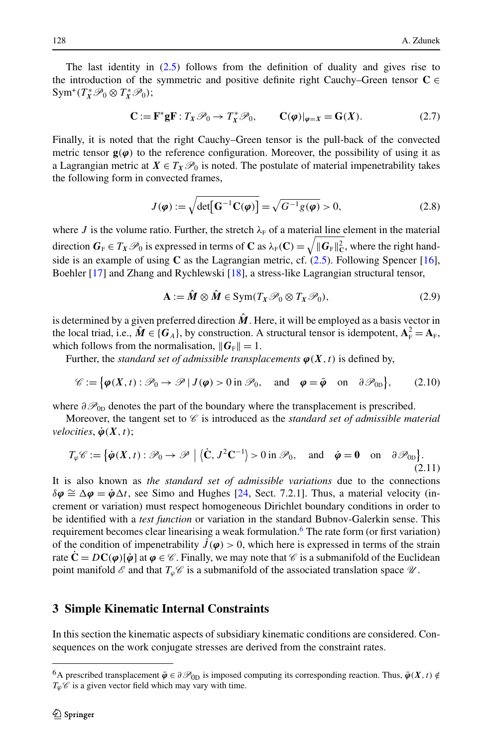The last identity in ([2.5\)](#page-4-2) follows from the definition of duality and gives rise to the introduction of the symmetric and positive definite right Cauchy–Green tensor  $C \in$  $Sym^+(T^*_X\mathscr{P}_0\otimes T^*_X\mathscr{P}_0);$ 

<span id="page-5-6"></span>
$$
\mathbf{C} := \mathbf{F}^* \mathbf{g} \mathbf{F} : T_X \mathscr{P}_0 \to T_X^* \mathscr{P}_0, \qquad \mathbf{C}(\varphi)|_{\varphi = X} = \mathbf{G}(X). \tag{2.7}
$$

Finally, it is noted that the right Cauchy–Green tensor is the pull-back of the convected metric tensor  $g(\varphi)$  to the reference configuration. Moreover, the possibility of using it as a Lagrangian metric at  $X \in T_X \mathcal{P}_0$  is noted. The postulate of material impenetrability takes the following form in convected frames,

<span id="page-5-5"></span><span id="page-5-1"></span>
$$
J(\boldsymbol{\varphi}) := \sqrt{\det[\mathbf{G}^{-1}\mathbf{C}(\boldsymbol{\varphi})]} = \sqrt{G^{-1}g(\boldsymbol{\varphi})} > 0,
$$
\n(2.8)

where *J* is the volume ratio. Further, the stretch  $\lambda_F$  of a material line element in the material direction  $G_F \in T_X \mathscr{P}_0$  is expressed in terms of **C** as  $\lambda_F(C) = \sqrt{\|G_F\|_C^2}$ , where the right handside is an example of using  $C$  as the Lagrangian metric, cf.  $(2.5)$  $(2.5)$ . Following Spencer [[16](#page-28-13)], Boehler [\[17\]](#page-28-14) and Zhang and Rychlewski [[18](#page-28-15)], a stress-like Lagrangian structural tensor,

<span id="page-5-4"></span><span id="page-5-3"></span>
$$
\mathbf{A} := \hat{\mathbf{M}} \otimes \hat{\mathbf{M}} \in \text{Sym}(T_X \mathscr{P}_0 \otimes T_X \mathscr{P}_0),\tag{2.9}
$$

is determined by a given preferred direction  $\hat{M}$ . Here, it will be employed as a basis vector in the local triad, i.e.,  $\hat{M} \in \{G_A\}$ , by construction. A structural tensor is idempotent,  $A_F^2 = A_F$ , which follows from the normalisation,  $\|\mathbf{G}_{\text{F}}\|=1$ .

Further, the *standard set of admissible transplacements*  $\varphi(X, t)$  is defined by,

$$
\mathscr{C} := \{ \boldsymbol{\varphi}(X,t) : \mathscr{P}_0 \to \mathscr{P} \mid J(\boldsymbol{\varphi}) > 0 \text{ in } \mathscr{P}_0, \quad \text{and} \quad \boldsymbol{\varphi} = \bar{\boldsymbol{\varphi}} \quad \text{on} \quad \partial \mathscr{P}_{0\text{D}} \},\tag{2.10}
$$

where  $\partial \mathcal{P}_{0D}$  denotes the part of the boundary where the transplacement is prescribed.

Moreover, the tangent set to  $\mathscr C$  is introduced as the *standard set of admissible material velocities*,  $\dot{\varphi}(X, t)$ ;

$$
T_{\varphi} \mathscr{C} := \{ \dot{\boldsymbol{\varphi}}(X, t) : \mathscr{P}_0 \to \mathscr{P} \mid \langle \dot{\mathbf{C}}, J^2 \mathbf{C}^{-1} \rangle > 0 \text{ in } \mathscr{P}_0, \text{ and } \dot{\boldsymbol{\varphi}} = \mathbf{0} \text{ on } \partial \mathscr{P}_{0\text{D}} \}. \tag{2.11}
$$

<span id="page-5-0"></span>It is also known as *the standard set of admissible variations* due to the connections  $\delta \varphi \cong \Delta \varphi = \dot{\varphi} \Delta t$ , see Simo and Hughes [\[24,](#page-29-0) Sect. 7.2.1]. Thus, a material velocity (increment or variation) must respect homogeneous Dirichlet boundary conditions in order to be identified with a *test function* or variation in the standard Bubnov-Galerkin sense. This requirement becomes clear linearising a weak formulation.<sup>6</sup> The rate form (or first variation) of the condition of impenetrability  $J(\varphi) > 0$ , which here is expressed in terms of the strain rate  $\hat{\mathbf{C}} = D\mathbf{C}(\phi)[\dot{\phi}]$  at  $\phi \in \mathscr{C}$ . Finally, we may note that  $\mathscr{C}$  is a submanifold of the Euclidean point manifold  $\mathscr E$  and that  $T_\varphi \mathscr C$  is a submanifold of the associated translation space  $\mathscr U$ .

## <span id="page-5-2"></span>**3 Simple Kinematic Internal Constraints**

In this section the kinematic aspects of subsidiary kinematic conditions are considered. Consequences on the work conjugate stresses are derived from the constraint rates.

<sup>&</sup>lt;sup>6</sup>A prescribed transplacement  $\bar{\varphi} \in \partial \mathcal{P}_{\text{OD}}$  is imposed computing its corresponding reaction. Thus,  $\bar{\varphi}(X, t) \notin$  $T_{\varphi}$ C is a given vector field which may vary with time.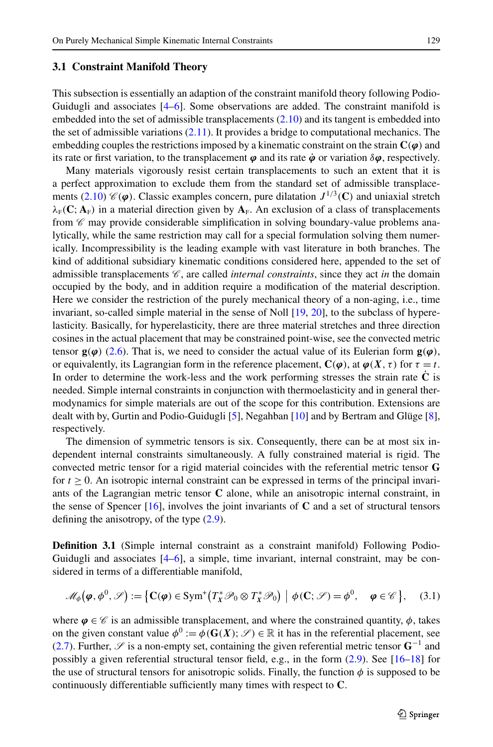#### **3.1 Constraint Manifold Theory**

This subsection is essentially an adaption of the constraint manifold theory following Podio-Guidugli and associates [[4–](#page-28-3)[6](#page-28-4)]. Some observations are added. The constraint manifold is embedded into the set of admissible transplacements ([2.10](#page-5-3)) and its tangent is embedded into the set of admissible variations  $(2.11)$ . It provides a bridge to computational mechanics. The embedding couples the restrictions imposed by a kinematic constraint on the strain  $\mathbf{C}(\varphi)$  and its rate or first variation, to the transplacement  $\varphi$  and its rate  $\dot{\varphi}$  or variation  $\delta\varphi$ , respectively.

Many materials vigorously resist certain transplacements to such an extent that it is a perfect approximation to exclude them from the standard set of admissible transplace-ments [\(2.10\)](#page-5-3)  $\mathcal{C}(\varphi)$ . Classic examples concern, pure dilatation  $J^{1/3}(\mathbf{C})$  and uniaxial stretch  $\lambda_F(C; A_F)$  in a material direction given by  $A_F$ . An exclusion of a class of transplacements from  $\mathscr C$  may provide considerable simplification in solving boundary-value problems analytically, while the same restriction may call for a special formulation solving them numerically. Incompressibility is the leading example with vast literature in both branches. The kind of additional subsidiary kinematic conditions considered here, appended to the set of admissible transplacements  $\mathscr C$ , are called *internal constraints*, since they act *in* the domain occupied by the body, and in addition require a modification of the material description. Here we consider the restriction of the purely mechanical theory of a non-aging, i.e., time invariant, so-called simple material in the sense of Noll [\[19,](#page-28-16) [20\]](#page-29-7), to the subclass of hyperelasticity. Basically, for hyperelasticity, there are three material stretches and three direction cosines in the actual placement that may be constrained point-wise, see the convected metric tensor  $\mathbf{g}(\varphi)$  [\(2.6](#page-4-1)). That is, we need to consider the actual value of its Eulerian form  $\mathbf{g}(\varphi)$ , or equivalently, its Lagrangian form in the reference placement,  $\mathbf{C}(\varphi)$ , at  $\varphi(X, \tau)$  for  $\tau = t$ . In order to determine the work-less and the work performing stresses the strain rate  $\hat{C}$  is needed. Simple internal constraints in conjunction with thermoelasticity and in general thermodynamics for simple materials are out of the scope for this contribution. Extensions are dealt with by, Gurtin and Podio-Guidugli [[5](#page-28-2)], Negahban [[10](#page-28-8)] and by Bertram and Glüge [\[8](#page-28-10)], respectively.

<span id="page-6-1"></span>The dimension of symmetric tensors is six. Consequently, there can be at most six independent internal constraints simultaneously. A fully constrained material is rigid. The convected metric tensor for a rigid material coincides with the referential metric tensor **G** for  $t > 0$ . An isotropic internal constraint can be expressed in terms of the principal invariants of the Lagrangian metric tensor **C** alone, while an anisotropic internal constraint, in the sense of Spencer  $[16]$  $[16]$  $[16]$ , involves the joint invariants of  $C$  and a set of structural tensors defining the anisotropy, of the type [\(2.9\)](#page-5-5).

**Definition 3.1** (Simple internal constraint as a constraint manifold) Following Podio-Guidugli and associates  $[4-6]$  $[4-6]$  $[4-6]$ , a simple, time invariant, internal constraint, may be considered in terms of a differentiable manifold,

<span id="page-6-0"></span>
$$
\mathscr{M}_{\phi}(\varphi,\phi^0,\mathscr{S}) := \left\{ \mathbf{C}(\varphi) \in \text{Sym}^+(T_X^* \mathscr{P}_0 \otimes T_X^* \mathscr{P}_0) \; \middle| \; \phi(\mathbf{C};\mathscr{S}) = \phi^0, \quad \varphi \in \mathscr{C} \right\},\tag{3.1}
$$

where  $\varphi \in \mathscr{C}$  is an admissible transplacement, and where the constrained quantity,  $\phi$ , takes on the given constant value  $\phi^0 := \phi(\mathbf{G}(X); \mathcal{S}) \in \mathbb{R}$  it has in the referential placement, see ([2.7\)](#page-5-6). Further,  $\mathscr{S}$  is a non-empty set, containing the given referential metric tensor  $\mathbf{G}^{-1}$  and possibly a given referential structural tensor field, e.g., in the form  $(2.9)$ . See [[16](#page-28-13)–[18](#page-28-15)] for the use of structural tensors for anisotropic solids. Finally, the function  $\phi$  is supposed to be continuously differentiable sufficiently many times with respect to **C**.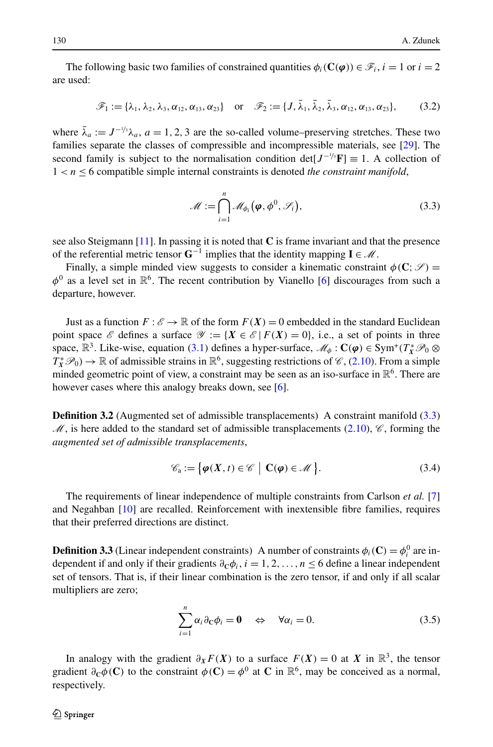The following basic two families of constrained quantities  $\phi_i(\mathbf{C}(\varphi)) \in \mathscr{F}_i$ ,  $i = 1$  or  $i = 2$ are used:

$$
\mathscr{F}_1 := \{\lambda_1, \lambda_2, \lambda_3, \alpha_{12}, \alpha_{13}, \alpha_{23}\} \quad \text{or} \quad \mathscr{F}_2 := \{J, \bar{\lambda}_1, \bar{\lambda}_2, \bar{\lambda}_3, \alpha_{12}, \alpha_{13}, \alpha_{23}\},\tag{3.2}
$$

where  $\bar{\lambda}_a := J^{-1/3} \lambda_a$ ,  $a = 1, 2, 3$  are the so-called volume–preserving stretches. These two families separate the classes of compressible and incompressible materials, see [[29](#page-29-2)]. The second family is subject to the normalisation condition det[ $J^{-1/3}$ **F**]  $\equiv$  1. A collection of  $1 < n \leq 6$  compatible simple internal constraints is denoted *the constraint manifold*,

<span id="page-7-2"></span><span id="page-7-0"></span>
$$
\mathcal{M} := \bigcap_{i=1}^{n} \mathcal{M}_{\phi_i}(\boldsymbol{\varphi}, \boldsymbol{\phi}^0, \mathcal{S}_i),
$$
\n(3.3)

see also Steigmann [\[11\]](#page-28-6). In passing it is noted that **C** is frame invariant and that the presence of the referential metric tensor **G**<sup>−</sup><sup>1</sup> implies that the identity mapping **I** ∈ M.

Finally, a simple minded view suggests to consider a kinematic constraint  $\phi(\mathbf{C}; \mathscr{S}) =$  $\phi^0$  as a level set in  $\mathbb{R}^6$  $\mathbb{R}^6$ . The recent contribution by Vianello [6] discourages from such a departure, however.

Just as a function  $F: \mathscr{E} \to \mathbb{R}$  of the form  $F(X) = 0$  embedded in the standard Euclidean point space  $\mathcal{E}$  defines a surface  $\mathcal{Y} := \{X \in \mathcal{E} \mid F(X) = 0\}$ , i.e., a set of points in three space,  $\mathbb{R}^3$ . Like-wise, equation ([3.1](#page-6-0)) defines a hyper-surface,  $\mathcal{M}_{\phi}$ :  $\mathbf{C}(\varphi) \in \text{Sym}^+(T_X^* \mathcal{P}_0 \otimes$  $T^*_X \mathcal{P}_0$   $\to \mathbb{R}$  of admissible strains in  $\mathbb{R}^6$ , suggesting restrictions of  $\mathcal{C}$ , [\(2.10\)](#page-5-3). From a simple minded geometric point of view, a constraint may be seen as an iso-surface in  $\mathbb{R}^6$ . There are however cases where this analogy breaks down, see [[6](#page-28-4)].

**Definition 3.2** (Augmented set of admissible transplacements) A constraint manifold ([3.3](#page-7-0))  $M$ , is here added to the standard set of admissible transplacements [\(2.10\)](#page-5-3),  $\mathscr{C}$ , forming the *augmented set of admissible transplacements*,

<span id="page-7-1"></span>
$$
\mathscr{C}_{a} := \{ \varphi(X, t) \in \mathscr{C} \mid \mathbf{C}(\varphi) \in \mathscr{M} \}.
$$
 (3.4)

The requirements of linear independence of multiple constraints from Carlson *et al.* [[7](#page-28-5)] and Negahban [[10](#page-28-8)] are recalled. Reinforcement with inextensible fibre families, requires that their preferred directions are distinct.

**Definition 3.3** (Linear independent constraints) A number of constraints  $\phi_i(\mathbf{C}) = \phi_i^0$  are independent if and only if their gradients  $\partial_{\mathbf{C}} \phi_i$ ,  $i = 1, 2, \ldots, n \leq 6$  define a linear independent set of tensors. That is, if their linear combination is the zero tensor, if and only if all scalar multipliers are zero;

$$
\sum_{i=1}^{n} \alpha_i \partial_{\mathbf{C}} \phi_i = \mathbf{0} \quad \Leftrightarrow \quad \forall \alpha_i = 0. \tag{3.5}
$$

In analogy with the gradient  $\partial_X F(X)$  to a surface  $F(X) = 0$  at X in  $\mathbb{R}^3$ , the tensor gradient  $\partial_{\mathbf{C}} \phi(\mathbf{C})$  to the constraint  $\phi(\mathbf{C}) = \phi^0$  at **C** in  $\mathbb{R}^6$ , may be conceived as a normal, respectively.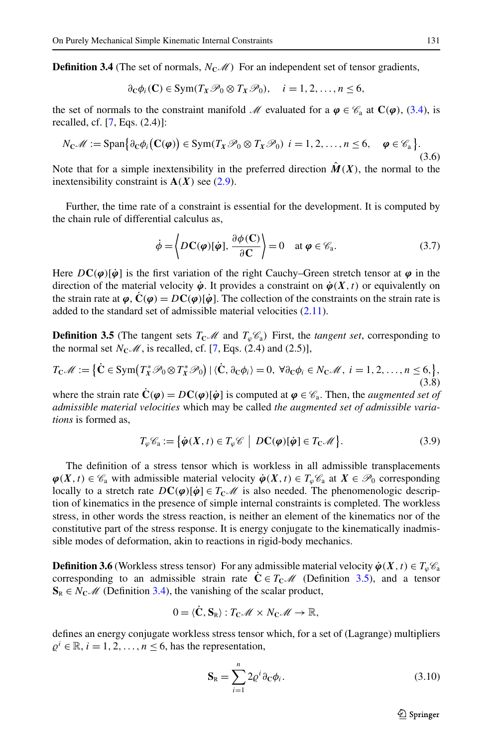**Definition 3.4** (The set of normals,  $N_{\rm C}$  *M*) For an independent set of tensor gradients,

<span id="page-8-1"></span>
$$
\partial_{\mathbf{C}} \phi_i(\mathbf{C}) \in \mathrm{Sym}(T_X \mathscr{P}_0 \otimes T_X \mathscr{P}_0), \quad i = 1, 2, \dots, n \leq 6,
$$

the set of normals to the constraint manifold M evaluated for a  $\varphi \in \mathcal{C}_a$  at  $\mathbf{C}(\varphi)$ , ([3.4\)](#page-7-1), is recalled, cf. [[7](#page-28-5), Eqs. (2.4)]:

$$
N_{\mathbf{C}}\mathscr{M} := \text{Span}\big\{\partial_{\mathbf{C}}\phi_i\big(\mathbf{C}(\varphi)\big) \in \text{Sym}(T_X \mathscr{P}_0 \otimes T_X \mathscr{P}_0) \ \ i = 1, 2, \dots, n \le 6, \quad \varphi \in \mathscr{C}_a\big\}.
$$
\n(3.6)

Note that for a simple inextensibility in the preferred direction  $\hat{M}(X)$ , the normal to the inextensibility constraint is  $A(X)$  see ([2.9](#page-5-5)).

Further, the time rate of a constraint is essential for the development. It is computed by the chain rule of differential calculus as,

<span id="page-8-0"></span>
$$
\dot{\phi} = \left\langle D\mathbf{C}(\varphi)[\dot{\varphi}], \frac{\partial \phi(\mathbf{C})}{\partial \mathbf{C}} \right\rangle = 0 \quad \text{at } \varphi \in \mathscr{C}_{a}.
$$
 (3.7)

Here  $D\mathbf{C}(\varphi)[\dot{\varphi}]$  is the first variation of the right Cauchy–Green stretch tensor at  $\varphi$  in the direction of the material velocity  $\dot{\varphi}$ . It provides a constraint on  $\dot{\varphi}(X,t)$  or equivalently on the strain rate at  $\varphi$ ,  $\mathbf{C}(\varphi) = D\mathbf{C}(\varphi)[\dot{\varphi}]$ . The collection of the constraints on the strain rate is added to the standard set of admissible material velocities ([2.11](#page-5-4)).

**Definition 3.5** (The tangent sets  $T_c \mathcal{M}$  and  $T_\varphi \mathcal{C}_a$ ) First, the *tangent set*, corresponding to the normal set  $N_{\rm C}$   $\mathcal{M}$ , is recalled, cf. [[7](#page-28-5), Eqs. (2.4) and (2.5)],

$$
T_{\mathbf{C}}\mathcal{M} := \{ \dot{\mathbf{C}} \in \text{Sym}\big( T_X^* \mathcal{P}_0 \otimes T_X^* \mathcal{P}_0 \big) \mid \langle \dot{\mathbf{C}}, \partial_{\mathbf{C}} \phi_i \rangle = 0, \ \forall \partial_{\mathbf{C}} \phi_i \in N_{\mathbf{C}}\mathcal{M}, \ i = 1, 2, \dots, n \le 6, \},
$$
\n(3.8)

where the strain rate  $\mathbf{C}(\varphi) = D\mathbf{C}(\varphi)[\dot{\varphi}]$  is computed at  $\varphi \in \mathscr{C}_a$ . Then, the *augmented set of admissible material velocities* which may be called *the augmented set of admissible variations* is formed as,

<span id="page-8-3"></span>
$$
T_{\varphi} \mathscr{C}_{\mathbf{a}} := \{ \dot{\boldsymbol{\varphi}}(X, t) \in T_{\varphi} \mathscr{C} \mid D\mathbf{C}(\boldsymbol{\varphi})[\dot{\boldsymbol{\varphi}}] \in T_{\mathbf{C}} \mathscr{M} \}.
$$
 (3.9)

The definition of a stress tensor which is workless in all admissible transplacements  $\varphi(X, t) \in \mathcal{C}_a$  with admissible material velocity  $\dot{\varphi}(X, t) \in T_\varphi \mathcal{C}_a$  at  $X \in \mathcal{P}_0$  corresponding locally to a stretch rate  $D\mathbf{C}(\varphi)[\dot{\varphi}] \in T_{\mathbf{C}}\mathcal{M}$  is also needed. The phenomenologic description of kinematics in the presence of simple internal constraints is completed. The workless stress, in other words the stress reaction, is neither an element of the kinematics nor of the constitutive part of the stress response. It is energy conjugate to the kinematically inadmissible modes of deformation, akin to reactions in rigid-body mechanics.

**Definition 3.6** (Workless stress tensor) For any admissible material velocity  $\dot{\varphi}(X, t) \in T_{\varphi} \mathcal{C}_{a}$ corresponding to an admissible strain rate  $\hat{\mathbf{C}} \in T_{\mathbf{C}} \mathcal{M}$  (Definition [3.5](#page-8-0)), and a tensor  $S_R \in N_C M$  (Definition [3.4\)](#page-8-1), the vanishing of the scalar product,

$$
0 = \langle \dot{\mathbf{C}}, \mathbf{S}_{R} \rangle : T_{\mathbf{C}} \mathscr{M} \times N_{\mathbf{C}} \mathscr{M} \to \mathbb{R},
$$

defines an energy conjugate workless stress tensor which, for a set of (Lagrange) multipliers  $\rho^{i} \in \mathbb{R}, i = 1, 2, \ldots, n \leq 6$ , has the representation,

$$
\mathbf{S}_{\mathrm{R}} = \sum_{i=1}^{n} 2\varrho^{i} \partial_{\mathbf{C}} \phi_{i}.
$$
 (3.10)

<span id="page-8-2"></span> $\mathcal{D}$  Springer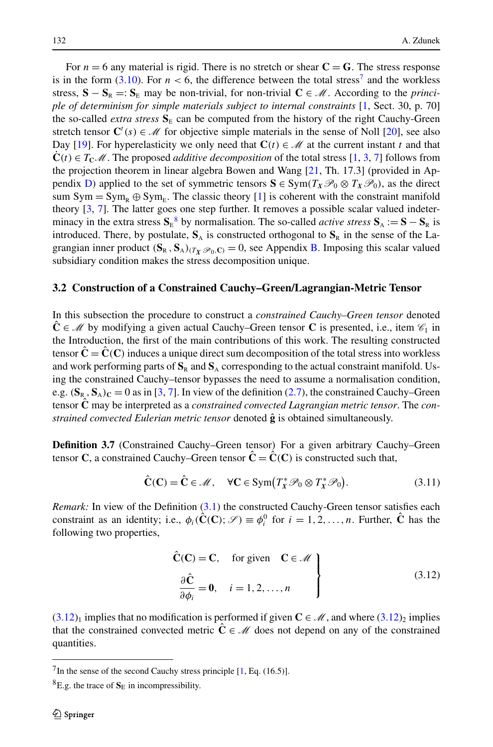For  $n = 6$  any material is rigid. There is no stretch or shear  $C = G$ . The stress response is in the form  $(3.10)$  $(3.10)$  $(3.10)$ . For  $n < 6$ , the difference between the total stress<sup>[7](#page-9-1)</sup> and the workless stress,  $S - S_R = S_E$  may be non-trivial, for non-trivial  $C \in \mathcal{M}$ . According to the *principle of determinism for simple materials subject to internal constraints* [\[1,](#page-28-0) Sect. 30, p. 70] the so-called *extra stress*  $S<sub>E</sub>$  can be computed from the history of the right Cauchy-Green stretch tensor  $\mathbf{C}^t(s) \in \mathcal{M}$  for objective simple materials in the sense of Noll [[20](#page-29-7)], see also Day [[19](#page-28-16)]. For hyperelasticity we only need that  $\mathbf{C}(t) \in \mathcal{M}$  at the current instant *t* and that  $\dot{C}(t) \in T_{C}$ *M*. The proposed *additive decomposition* of the total stress [[1](#page-28-0), [3,](#page-28-1) [7](#page-28-5)] follows from the projection theorem in linear algebra Bowen and Wang [\[21,](#page-29-8) Th. 17.3] (provided in Ap-pendix [D](#page-28-17)) applied to the set of symmetric tensors  $\mathbf{S} \in \text{Sym}(T_x \mathscr{P}_0 \otimes T_x \mathscr{P}_0)$ , as the direct sum  $Sym = Sym<sub>R</sub> \oplus Sym<sub>F</sub>$ . The classic theory [[1](#page-28-0)] is coherent with the constraint manifold theory  $[3, 7]$  $[3, 7]$  $[3, 7]$ . The latter goes one step further. It removes a possible scalar valued indeterminacy in the extra stress  $S_E^8$  $S_E^8$  by normalisation. The so-called *active stress*  $S_A := S - S_R$  is introduced. There, by postulate,  $S_A$  is constructed orthogonal to  $S_R$  in the sense of the Lagrangian inner product  $(S_R, S_A)_{(T_X, \mathcal{P}_0, C)} = 0$ , see Appendix [B](#page-25-1). Imposing this scalar valued subsidiary condition makes the stress decomposition unique.

#### <span id="page-9-0"></span>**3.2 Construction of a Constrained Cauchy–Green/Lagrangian-Metric Tensor**

<span id="page-9-5"></span>In this subsection the procedure to construct a *constrained Cauchy–Green tensor* denoted  $\hat{\mathbf{C}} \in \mathcal{M}$  by modifying a given actual Cauchy–Green tensor **C** is presented, i.e., item  $\mathcal{C}_1$  in the Introduction, the first of the main contributions of this work. The resulting constructed tensor  $C = C(C)$  induces a unique direct sum decomposition of the total stress into workless and work performing parts of  $S_R$  and  $S_A$  corresponding to the actual constraint manifold. Using the constrained Cauchy–tensor bypasses the need to assume a normalisation condition, e.g.  $(S_R, S_A)_C = 0$  as in [[3](#page-28-1), [7\]](#page-28-5). In view of the definition [\(2.7\)](#page-5-6), the constrained Cauchy–Green tensor **C**ˆ may be interpreted as a *constrained convected Lagrangian metric tensor*. The *constrained convected Eulerian metric tensor denoted*  $\hat{g}$  is obtained simultaneously.

**Definition 3.7** (Constrained Cauchy–Green tensor) For a given arbitrary Cauchy–Green tensor **C**, a constrained Cauchy–Green tensor  $\hat{\mathbf{C}} = \hat{\mathbf{C}}(\mathbf{C})$  is constructed such that,

<span id="page-9-4"></span>
$$
\hat{\mathbf{C}}(\mathbf{C}) = \hat{\mathbf{C}} \in \mathcal{M}, \quad \forall \mathbf{C} \in \text{Sym}\big(\mathbf{T}_X^* \mathcal{P}_0 \otimes \mathbf{T}_X^* \mathcal{P}_0\big). \tag{3.11}
$$

*Remark:* In view of the Definition ([3.1](#page-6-0)) the constructed Cauchy-Green tensor satisfies each constraint as an identity; i.e.,  $\phi_i(\hat{\mathbf{C}}(\mathbf{C}); \mathcal{S}) \equiv \phi_i^0$  for  $i = 1, 2, ..., n$ . Further,  $\hat{\mathbf{C}}$  has the following two properties,

<span id="page-9-3"></span>
$$
\hat{\mathbf{C}}(\mathbf{C}) = \mathbf{C}, \text{ for given } \mathbf{C} \in \mathcal{M}
$$
\n
$$
\frac{\partial \hat{\mathbf{C}}}{\partial \phi_i} = \mathbf{0}, \quad i = 1, 2, ..., n
$$
\n(3.12)

<span id="page-9-2"></span><span id="page-9-1"></span> $(3.12)$  $(3.12)$ <sub>1</sub> implies that no modification is performed if given  $\mathbb{C} \in \mathcal{M}$ , and where  $(3.12)$ <sub>2</sub> implies that the constrained convected metric  $\hat{\mathbf{C}} \in \mathcal{M}$  does not depend on any of the constrained quantities.

 $7$ In the sense of the second Cauchy stress principle [[1,](#page-28-0) Eq. (16.5)].

 ${}^{8}E.g.$  the trace of  $S_{E}$  in incompressibility.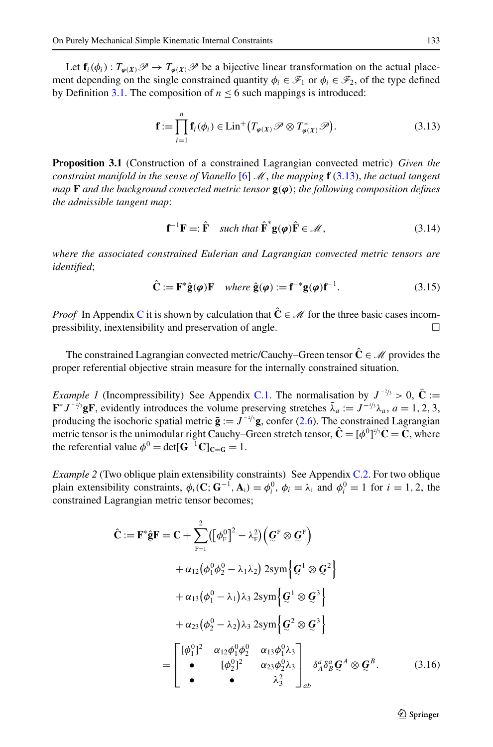Let  $f_i(\phi_i): T_{\phi(X)} \mathscr{P} \to T_{\phi(X)} \mathscr{P}$  be a bijective linear transformation on the actual placement depending on the single constrained quantity  $\phi_i \in \mathscr{F}_1$  or  $\phi_i \in \mathscr{F}_2$ , of the type defined by Definition [3.1](#page-6-1). The composition of  $n \leq 6$  such mappings is introduced:

<span id="page-10-1"></span><span id="page-10-0"></span>
$$
\mathbf{f} := \prod_{i=1}^{n} \mathbf{f}_i(\phi_i) \in \text{Lin}^+\big(T_{\varphi(X)}\mathscr{P} \otimes T_{\varphi(X)}^*\mathscr{P}\big).
$$
 (3.13)

**Proposition 3.1** (Construction of a constrained Lagrangian convected metric) *Given the constraint manifold in the sense of Vianello* [[6\]](#page-28-4) *M*, *the mapping* **f** [\(3.13\)](#page-10-0), *the actual tangent map* **F** *and the background convected metric tensor* **g***(ϕ)*; *the following composition defines the admissible tangent map*:

$$
\mathbf{f}^{-1}\mathbf{F} = \hat{\mathbf{F}} \quad \text{such that } \hat{\mathbf{F}}^* \mathbf{g}(\boldsymbol{\varphi}) \hat{\mathbf{F}} \in \mathcal{M}, \tag{3.14}
$$

*where the associated constrained Eulerian and Lagrangian convected metric tensors are identified*;

$$
\hat{\mathbf{C}} := \mathbf{F}^* \hat{\mathbf{g}}(\boldsymbol{\varphi}) \mathbf{F} \quad \text{where } \hat{\mathbf{g}}(\boldsymbol{\varphi}) := \mathbf{f}^{-*} \mathbf{g}(\boldsymbol{\varphi}) \mathbf{f}^{-1}.
$$
 (3.15)

*Proof* In Appendix [C](#page-26-0) it is shown by calculation that  $\hat{C} \in \mathcal{M}$  for the three basic cases incompressibility, inextensibility and preservation of angle.  $\Box$ 

The constrained Lagrangian convected metric/Cauchy–Green tensor  $\tilde{C} \in \mathcal{M}$  provides the proper referential objective strain measure for the internally constrained situation.

*Example 1* (Incompressibility) See Appendix [C.1](#page-26-1). The normalisation by  $J^{-2/3} > 0$ ,  $\bar{C} :=$  $\mathbf{F}^* J^{-2/3} \mathbf{g} \mathbf{F}$ , evidently introduces the volume preserving stretches  $\bar{\lambda}_a := J^{-1/3} \lambda_a$ ,  $a = 1, 2, 3$ , producing the isochoric spatial metric  $\bar{\mathbf{g}} := J^{-2/3}\mathbf{g}$ , confer ([2.6\)](#page-4-1). The constrained Lagrangian metric tensor is the unimodular right Cauchy–Green stretch tensor,  $\hat{\mathbf{C}} = [\phi^0]^{1/3} \bar{\mathbf{C}} = \bar{\mathbf{C}}$ , where the referential value  $\phi^0 = det[\mathbf{G}^{-1}\mathbf{C}]_{\mathbf{C}=\mathbf{G}} = 1.$ 

*Example 2* (Two oblique plain extensibility constraints) See Appendix [C.2](#page-26-2). For two oblique plain extensibility constraints,  $\phi_i(\mathbf{C}; \mathbf{G}^{-1}, \mathbf{A}_i) = \phi_i^0$ ,  $\phi_i = \lambda_i$  and  $\phi_i^0 = 1$  for  $i = 1, 2$ , the constrained Lagrangian metric tensor becomes;

$$
\hat{\mathbf{C}} := \mathbf{F}^* \hat{\mathbf{g}} \mathbf{F} = \mathbf{C} + \sum_{F=1}^2 \left( [\phi_F^0]^2 - \lambda_F^2 \right) \left( \mathbf{G}^F \otimes \mathbf{G}^F \right)
$$
  
+  $\alpha_{12} (\phi_1^0 \phi_2^0 - \lambda_1 \lambda_2) 2 \text{sym} \left\{ \mathbf{G}^1 \otimes \mathbf{G}^2 \right\}$   
+  $\alpha_{13} (\phi_1^0 - \lambda_1) \lambda_3 2 \text{sym} \left\{ \mathbf{G}^1 \otimes \mathbf{G}^3 \right\}$   
+  $\alpha_{23} (\phi_2^0 - \lambda_2) \lambda_3 2 \text{sym} \left\{ \mathbf{G}^2 \otimes \mathbf{G}^3 \right\}$   
= 
$$
\begin{bmatrix} [\phi_1^0]^2 & \alpha_{12} \phi_1^0 \phi_2^0 & \alpha_{13} \phi_1^0 \lambda_3 \\ \bullet & [\phi_2^0]^2 & \alpha_{23} \phi_2^0 \lambda_3 \\ \bullet & \bullet & \lambda_3^2 \end{bmatrix}_{ab} \delta_A^a \delta_B^a \mathbf{G}^A \otimes \mathbf{G}^B.
$$
 (3.16)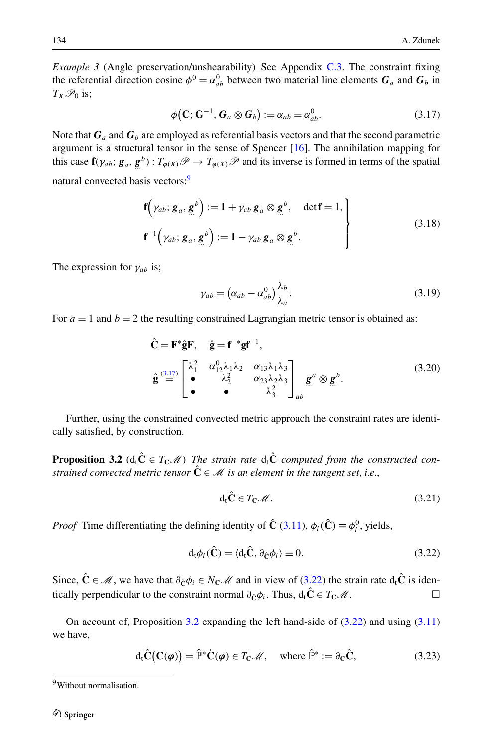*Example 3* (Angle preservation/unshearability) See Appendix [C.3.](#page-26-3) The constraint fixing the referential direction cosine  $\phi^0 = \alpha_{ab}^0$  between two material line elements  $G_a$  and  $G_b$  in  $T_X \mathcal{P}_0$  is;

<span id="page-11-1"></span>
$$
\phi\big(\mathbf{C};\mathbf{G}^{-1},\mathbf{G}_a\otimes\mathbf{G}_b\big)\vcentcolon=\alpha_{ab}=\alpha_{ab}^0.
$$
\n(3.17)

Note that  $G_a$  and  $G_b$  are employed as referential basis vectors and that the second parametric argument is a structural tensor in the sense of Spencer [[16](#page-28-13)]. The annihilation mapping for this case  $f(\gamma_{ab}; g_a, g^b): T_{\varphi(X)} \mathscr{P} \to T_{\varphi(X)} \mathscr{P}$  and its inverse is formed in terms of the spatial

natural convected basis vectors:<sup>[9](#page-11-0)</sup>

$$
\mathbf{f}\left(\gamma_{ab};\,\mathbf{g}_a,\,\mathbf{g}^b\right) := \mathbf{1} + \gamma_{ab}\,\mathbf{g}_a \otimes \mathbf{g}^b, \quad \det \mathbf{f} = 1, \n\mathbf{f}^{-1}\left(\gamma_{ab};\,\mathbf{g}_a,\,\mathbf{g}^b\right) := \mathbf{1} - \gamma_{ab}\,\mathbf{g}_a \otimes \mathbf{g}^b.
$$
\n(3.18)

The expression for  $\gamma_{ab}$  is;

$$
\gamma_{ab} = \left(\alpha_{ab} - \alpha_{ab}^0\right) \frac{\lambda_b}{\lambda_a}.\tag{3.19}
$$

For  $a = 1$  and  $b = 2$  the resulting constrained Lagrangian metric tensor is obtained as:

<span id="page-11-3"></span>
$$
\hat{\mathbf{C}} = \mathbf{F}^* \hat{\mathbf{g}} \mathbf{F}, \quad \hat{\mathbf{g}} = \mathbf{f}^{-*} \mathbf{g} \mathbf{f}^{-1},
$$
\n
$$
\hat{\mathbf{g}} \stackrel{(3.17)}{=} \begin{bmatrix} \lambda_1^2 & \alpha_{12}^0 \lambda_1 \lambda_2 & \alpha_{13} \lambda_1 \lambda_3 \\ \bullet & \lambda_2^2 & \alpha_{23} \lambda_2 \lambda_3 \\ \bullet & \bullet & \lambda_3^2 \end{bmatrix}_{ab} \mathbf{g}^a \otimes \mathbf{g}^b.
$$
\n(3.20)

Further, using the constrained convected metric approach the constraint rates are identically satisfied, by construction.

**Proposition 3.2** ( $d_t\hat{C} \in T_{C}M$ ) The strain rate  $d_t\hat{C}$  computed from the constructed con*strained convected metric tensor*  $\hat{\mathbf{C}} \in \mathcal{M}$  *is an element in the tangent set, i.e.,* 

<span id="page-11-4"></span><span id="page-11-2"></span>
$$
d_t \hat{\mathbf{C}} \in T_{\mathbf{C}} \mathcal{M} \,. \tag{3.21}
$$

*Proof* Time differentiating the defining identity of  $\hat{\mathbf{C}}$  ([3.11](#page-9-4)),  $\phi_i(\hat{\mathbf{C}}) \equiv \phi_i^0$ , yields,

$$
d_t \phi_i(\hat{C}) = \langle d_t \hat{C}, \partial_{\hat{C}} \phi_i \rangle \equiv 0. \tag{3.22}
$$

<span id="page-11-0"></span>Since,  $\hat{\mathbf{C}}$  ∈  $\mathcal{M}$ , we have that  $\partial_{\hat{C}}\phi_i \in N_{\mathbf{C}}\mathcal{M}$  and in view of ([3.22](#page-11-2)) the strain rate  $d_t\hat{C}$  is identically perpendicular to the constraint normal  $\partial_{\hat{C}}\phi_i$ . Thus,  $d_t\hat{C} \in T_{C}M$ .  $\Box$ 

On account of, Proposition [3.2](#page-11-3) expanding the left hand-side of  $(3.22)$  $(3.22)$  $(3.22)$  and using  $(3.11)$  $(3.11)$  $(3.11)$ we have,

$$
d_t \hat{C}(C(\varphi)) = \hat{\mathbb{P}}^* \dot{C}(\varphi) \in T_C \mathcal{M}, \quad \text{where } \hat{\mathbb{P}}^* := \partial_C \hat{C}, \tag{3.23}
$$

<sup>9</sup>Without normalisation.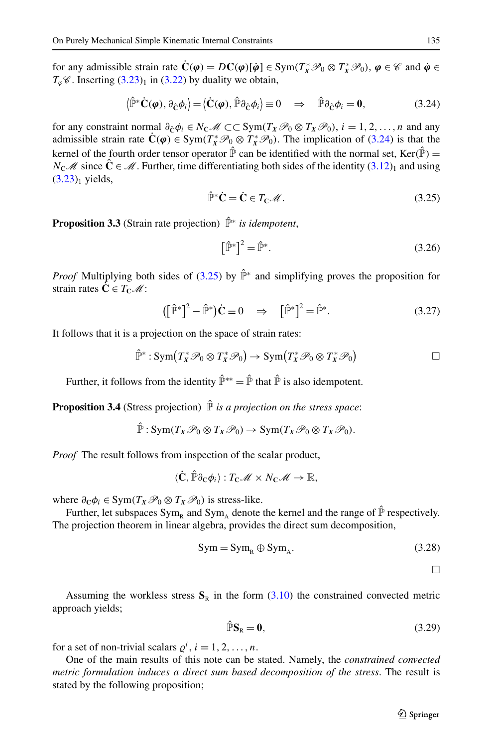for any admissible strain rate  $\dot{\mathbf{C}}(\varphi) = D\mathbf{C}(\varphi)[\dot{\varphi}] \in \text{Sym}(T_X^* \mathscr{P}_0 \otimes T_X^* \mathscr{P}_0), \varphi \in \mathscr{C}$  and  $\dot{\varphi} \in$  $T_{\varphi}$ C. Inserting  $(3.23)$  $(3.23)$  $(3.23)$ <sub>1</sub> in  $(3.22)$  $(3.22)$  $(3.22)$  by duality we obtain,

$$
\langle \hat{\mathbb{P}}^* \dot{\mathbf{C}}(\boldsymbol{\varphi}), \partial_{\hat{\mathbf{C}}} \phi_i \rangle = \langle \dot{\mathbf{C}}(\boldsymbol{\varphi}), \hat{\mathbb{P}} \partial_{\hat{\mathbf{C}}} \phi_i \rangle \equiv 0 \quad \Rightarrow \quad \hat{\mathbb{P}} \partial_{\hat{\mathbf{C}}} \phi_i = \mathbf{0}, \tag{3.24}
$$

for any constraint normal  $\partial_{\hat{C}} \phi_i \in N_{\mathbb{C}} \mathcal{M} \subset \mathbb{C}$  Sym $(T_X \mathcal{P}_0 \otimes T_X \mathcal{P}_0)$ ,  $i = 1, 2, ..., n$  and any admissible strain rate  $\dot{C}(\varphi) \in \text{Sym}(T_X^* \mathcal{P}_0 \otimes T_X^* \mathcal{P}_0)$ . The implication of [\(3.24\)](#page-12-0) is that the kernel of the fourth order tensor operator  $\hat{P}$  can be identified with the normal set, Ker $(\hat{P}) =$ *N*<sub>C</sub> $M$  since  $\hat{C}$  ∈  $M$ . Further, time differentiating both sides of the identity ([3.12](#page-9-3))<sub>1</sub> and using  $(3.23)<sub>1</sub>$  $(3.23)<sub>1</sub>$  $(3.23)<sub>1</sub>$  yields,

<span id="page-12-1"></span><span id="page-12-0"></span>
$$
\hat{\mathbb{P}}^* \dot{\mathbf{C}} = \dot{\mathbf{C}} \in T_{\mathbf{C}} \mathcal{M}.
$$
\n(3.25)

**Proposition 3.3** (Strain rate projection)  $\hat{P}^*$  *is idempotent*,

$$
\left[\hat{\mathbb{P}}^*\right]^2 = \hat{\mathbb{P}}^*.\tag{3.26}
$$

*Proof* Multiplying both sides of [\(3.25\)](#page-12-1) by  $\hat{P}^*$  and simplifying proves the proposition for strain rates  $C \in T_c \mathcal{M}$ :

<span id="page-12-2"></span>
$$
\left( \left[ \hat{\mathbb{P}}^* \right]^2 - \hat{\mathbb{P}}^* \right) \dot{\mathbf{C}} \equiv 0 \quad \Rightarrow \quad \left[ \hat{\mathbb{P}}^* \right]^2 = \hat{\mathbb{P}}^* . \tag{3.27}
$$

It follows that it is a projection on the space of strain rates:

$$
\hat{\mathbb{P}}^* : \mathrm{Sym}(T^*_X \mathscr{P}_0 \otimes T^*_X \mathscr{P}_0) \to \mathrm{Sym}(T^*_X \mathscr{P}_0 \otimes T^*_X \mathscr{P}_0) \qquad \qquad \Box
$$

Further, it follows from the identity  $\hat{P}^{**} = \hat{P}$  that  $\hat{P}$  is also idempotent.

**Proposition 3.4** (Stress projection)  $\hat{P}$  *is a projection on the stress space*:

$$
\hat{\mathbb{P}}: \operatorname{Sym}(T_X \mathscr{P}_0 \otimes T_X \mathscr{P}_0) \to \operatorname{Sym}(T_X \mathscr{P}_0 \otimes T_X \mathscr{P}_0).
$$

*Proof* The result follows from inspection of the scalar product,

$$
\langle \dot{\mathbf{C}}, \hat{\mathbb{P}} \partial_{\mathbf{C}} \phi_i \rangle : T_{\mathbf{C}} \mathscr{M} \times N_{\mathbf{C}} \mathscr{M} \to \mathbb{R},
$$

where  $∂$ **C** $ϕ$ <sup>*i*</sup> ∈ Sym( $T$ <sup>*X*</sup> $\mathcal{P}_0$  ⊗  $T$ <sup>*X*</sup> $\mathcal{P}_0$ ) is stress-like.

Further, let subspaces  $Sym<sub>R</sub>$  and  $Sym<sub>A</sub>$  denote the kernel and the range of  $\hat{P}$  respectively. The projection theorem in linear algebra, provides the direct sum decomposition,

$$
Sym = SymR \oplus SymA.
$$
 (3.28)

 $\Box$ 

Assuming the workless stress  $S_R$  in the form  $(3.10)$  $(3.10)$  $(3.10)$  the constrained convected metric approach yields;

$$
\hat{\mathbb{P}}\mathbf{S}_{\mathrm{R}}=\mathbf{0},\tag{3.29}
$$

for a set of non-trivial scalars  $\varrho^i$ ,  $i = 1, 2, ..., n$ .

One of the main results of this note can be stated. Namely, the *constrained convected metric formulation induces a direct sum based decomposition of the stress*. The result is stated by the following proposition;

 $\mathcal{D}$  Springer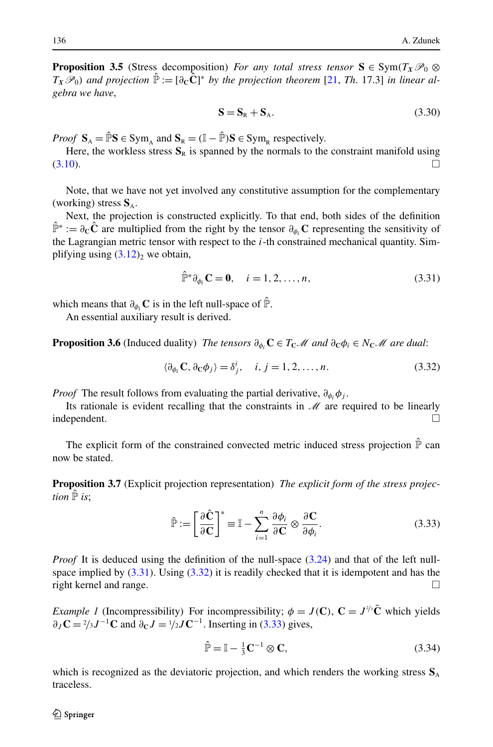<span id="page-13-3"></span>**Proposition 3.5** (Stress decomposition) *For any total stress tensor* **S**  $\in$  Sym $(T_X \mathscr{P}_0 \otimes$  $T_X \mathscr{P}_0$  and projection  $\hat{\mathbb{P}} := [\partial_C \hat{C}]^*$  by the projection theorem [[21](#page-29-8), *Th*. 17.3] in linear al*gebra we have*,

<span id="page-13-4"></span><span id="page-13-0"></span>
$$
\mathbf{S} = \mathbf{S}_{\mathrm{R}} + \mathbf{S}_{\mathrm{A}}.\tag{3.30}
$$

*Proof*  $S_A = \hat{P}S \in Sym_A$  and  $S_R = (\mathbb{I} - \hat{P})S \in Sym_B$  respectively.

Here, the workless stress  $S_R$  is spanned by the normals to the constraint manifold using  $(3.10)$  $(3.10)$ .

Note, that we have not yet involved any constitutive assumption for the complementary (working) stress  $S_A$ .

Next, the projection is constructed explicitly. To that end, both sides of the definition  $\mathbb{P}^* := \partial_c \mathbb{C}$  are multiplied from the right by the tensor  $\partial_{\phi_i} C$  representing the sensitivity of the Lagrangian metric tensor with respect to the *i*-th constrained mechanical quantity. Simplifying using  $(3.12)_2$  $(3.12)_2$  we obtain,

<span id="page-13-1"></span>
$$
\hat{\mathbb{P}}^* \partial_{\phi_i} \mathbf{C} = \mathbf{0}, \quad i = 1, 2, \dots, n,
$$
\n(3.31)

which means that  $\partial_{\phi_i} C$  is in the left null-space of  $\mathbb{P}$ .

An essential auxiliary result is derived.

**Proposition 3.6** (Induced duality) *The tensors*  $\partial_{\phi_i} \mathbf{C} \in T_{\mathbf{C}}\mathcal{M}$  *and*  $\partial_{\mathbf{C}} \phi_i \in N_{\mathbf{C}}\mathcal{M}$  *are dual:* 

<span id="page-13-6"></span><span id="page-13-2"></span>
$$
\langle \partial_{\phi_i} \mathbf{C}, \partial_{\mathbf{C}} \phi_j \rangle = \delta_j^i, \quad i, j = 1, 2, \dots, n. \tag{3.32}
$$

*Proof* The result follows from evaluating the partial derivative,  $\partial_{\phi_i} \phi_i$ .

Its rationale is evident recalling that the constraints in  $M$  are required to be linearly independent.

The explicit form of the constrained convected metric induced stress projection  $\hat{P}$  can now be stated.

<span id="page-13-5"></span>**Proposition 3.7** (Explicit projection representation) *The explicit form of the stress projection*  $\hat{P}$  *is*;

$$
\hat{\mathbb{P}} := \left[ \frac{\partial \hat{\mathbf{C}}}{\partial \mathbf{C}} \right]^* \equiv \mathbb{I} - \sum_{i=1}^n \frac{\partial \phi_i}{\partial \mathbf{C}} \otimes \frac{\partial \mathbf{C}}{\partial \phi_i}.
$$
\n(3.33)

*Proof* It is deduced using the definition of the null-space [\(3.24](#page-12-0)) and that of the left nullspace implied by ([3.31\)](#page-13-0). Using ([3.32](#page-13-1)) it is readily checked that it is idempotent and has the right kernel and range.

*Example 1* (Incompressibility) For incompressibility;  $\phi = J(\mathbf{C})$ ,  $\mathbf{C} = J^{\frac{3}{2}}\bar{\mathbf{C}}$  which yields  $\partial_J \mathbf{C} = \frac{2}{3} J^{-1} \mathbf{C}$  and  $\partial_{\mathbf{C}} J = \frac{1}{2} J \mathbf{C}^{-1}$ . Inserting in ([3.33](#page-13-2)) gives,

$$
\hat{\mathbb{P}} = \mathbb{I} - \frac{1}{3} \mathbf{C}^{-1} \otimes \mathbf{C},\tag{3.34}
$$

which is recognized as the deviatoric projection, and which renders the working stress  $S_A$ traceless.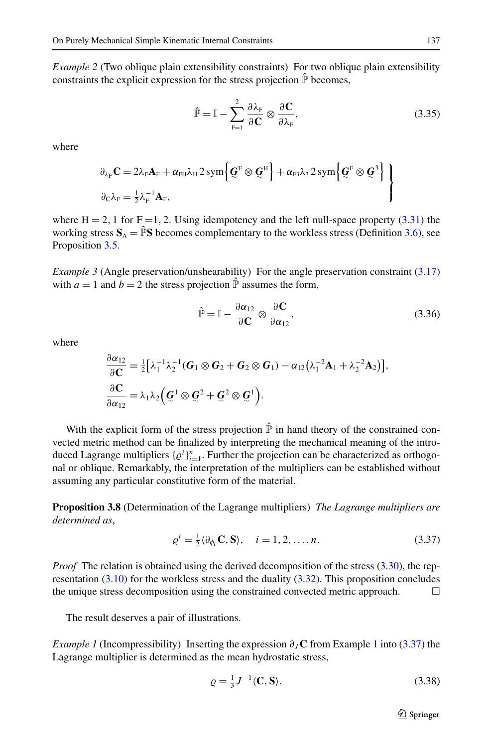*Example 2* (Two oblique plain extensibility constraints) For two oblique plain extensibility constraints the explicit expression for the stress projection  $\hat{P}$  becomes,

<span id="page-14-1"></span>
$$
\hat{\mathbb{P}} = \mathbb{I} - \sum_{F=1}^{2} \frac{\partial \lambda_F}{\partial C} \otimes \frac{\partial C}{\partial \lambda_F},
$$
\n(3.35)

where

$$
\left\{\partial_{\lambda_F} C = 2\lambda_F A_F + \alpha_{FH} \lambda_H 2 \operatorname{sym} \left\{ \underline{G}^F \otimes \underline{G}^H \right\} + \alpha_{F3} \lambda_3 2 \operatorname{sym} \left\{ \underline{G}^F \otimes \underline{G}^3 \right\} \right\}
$$
  

$$
\left\{\partial_C \lambda_F = \frac{1}{2} \lambda_F^{-1} A_F,
$$

where  $H = 2$ , 1 for  $F = 1$ , 2. Using idempotency and the left null-space property  $(3.31)$  $(3.31)$  the working stress  $S_A = \hat{P}S$  becomes complementary to the workless stress (Definition [3.6\)](#page-8-3), see Proposition [3.5.](#page-13-3)

*Example 3* (Angle preservation/unshearability) For the angle preservation constraint ([3.17](#page-11-1)) with  $a = 1$  and  $b = 2$  the stress projection  $\mathbb{P}$  assumes the form,

<span id="page-14-2"></span><span id="page-14-0"></span>
$$
\hat{\mathbb{P}} = \mathbb{I} - \frac{\partial \alpha_{12}}{\partial \mathbf{C}} \otimes \frac{\partial \mathbf{C}}{\partial \alpha_{12}},\tag{3.36}
$$

where

$$
\frac{\partial \alpha_{12}}{\partial \mathbf{C}} = \frac{1}{2} [\lambda_1^{-1} \lambda_2^{-1} (\mathbf{G}_1 \otimes \mathbf{G}_2 + \mathbf{G}_2 \otimes \mathbf{G}_1) - \alpha_{12} (\lambda_1^{-2} \mathbf{A}_1 + \lambda_2^{-2} \mathbf{A}_2)],
$$
  
\n
$$
\frac{\partial \mathbf{C}}{\partial \alpha_{12}} = \lambda_1 \lambda_2 (\mathbf{G}^1 \otimes \mathbf{G}^2 + \mathbf{G}^2 \otimes \mathbf{G}^1).
$$

With the explicit form of the stress projection  $\hat{P}$  in hand theory of the constrained convected metric method can be finalized by interpreting the mechanical meaning of the introduced Lagrange multipliers  $\{\varrho^i\}_{i=1}^n$ . Further the projection can be characterized as orthogonal or oblique. Remarkably, the interpretation of the multipliers can be established without assuming any particular constitutive form of the material.

**Proposition 3.8** (Determination of the Lagrange multipliers) *The Lagrange multipliers are determined as*,

$$
\varrho^{i} = \frac{1}{2} \langle \partial_{\phi_{i}} \mathbf{C}, \mathbf{S} \rangle, \quad i = 1, 2, \dots, n. \tag{3.37}
$$

*Proof* The relation is obtained using the derived decomposition of the stress [\(3.30\)](#page-13-4), the representation  $(3.10)$  $(3.10)$  for the workless stress and the duality  $(3.32)$ . This proposition concludes the unique stress decomposition using the constrained convected metric approach.  $\Box$ 

The result deserves a pair of illustrations.

*Example 1* (Incompressibility) Inserting the expression *∂J* **C** from Example [1](#page-13-5) into [\(3.37\)](#page-14-0) the Lagrange multiplier is determined as the mean hydrostatic stress,

$$
\varrho = \frac{1}{3} J^{-1} \langle \mathbf{C}, \mathbf{S} \rangle. \tag{3.38}
$$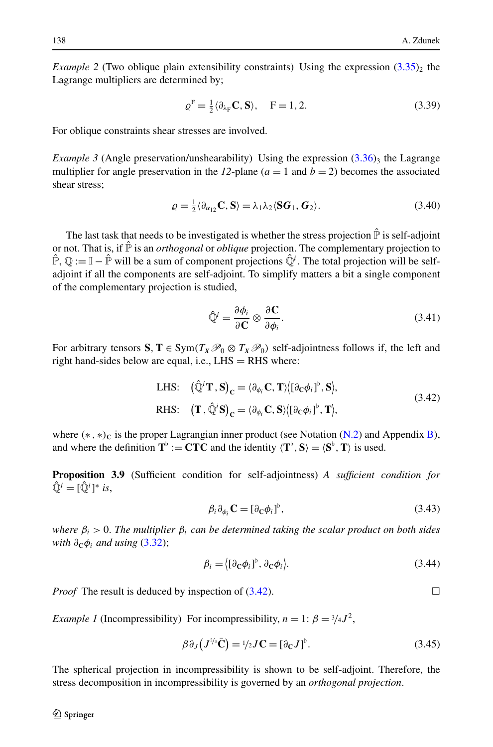*Example 2* (Two oblique plain extensibility constraints) Using the expression  $(3.35)_{2}$  $(3.35)_{2}$  the Lagrange multipliers are determined by;

$$
\varrho^{\mathrm{F}} = \frac{1}{2} \langle \partial_{\lambda_{\mathrm{F}}} \mathbf{C}, \mathbf{S} \rangle, \quad \mathrm{F} = 1, 2. \tag{3.39}
$$

For oblique constraints shear stresses are involved.

*Example 3* (Angle preservation/unshearability) Using the expression  $(3.36)$ <sub>3</sub> the Lagrange multiplier for angle preservation in the 12-plane ( $a = 1$  and  $b = 2$ ) becomes the associated shear stress;

$$
\varrho = \frac{1}{2} \langle \partial_{\alpha_{12}} \mathbf{C}, \mathbf{S} \rangle = \lambda_1 \lambda_2 \langle \mathbf{S} \mathbf{G}_1, \mathbf{G}_2 \rangle. \tag{3.40}
$$

The last task that needs to be investigated is whether the stress projection  $\hat{P}$  is self-adjoint or not. That is, if  $\hat{P}$  is an *orthogonal* or *oblique* projection. The complementary projection to Pˆ, Q := I − Pˆ will be a sum of component projections Qˆ *<sup>i</sup>* . The total projection will be selfadjoint if all the components are self-adjoint. To simplify matters a bit a single component of the complementary projection is studied,

<span id="page-15-1"></span><span id="page-15-0"></span>
$$
\hat{\mathbb{Q}}^i = \frac{\partial \phi_i}{\partial \mathbf{C}} \otimes \frac{\partial \mathbf{C}}{\partial \phi_i}.
$$
\n(3.41)

For arbitrary tensors  $S, T \in Sym(T_X \mathscr{P}_0 \otimes T_X \mathscr{P}_0)$  self-adjointness follows if, the left and right hand-sides below are equal, i.e.,  $LHS = RHS$  where:

LHS: 
$$
(\hat{\mathbb{Q}}^i \mathbf{T}, \mathbf{S})_c = \langle \partial_{\phi_i} \mathbf{C}, \mathbf{T} \rangle \langle [\partial_c \phi_i]^{\flat}, \mathbf{S} \rangle
$$
,  
RHS:  $(\mathbf{T}, \hat{\mathbb{Q}}^i \mathbf{S})_c = \langle \partial_{\phi_i} \mathbf{C}, \mathbf{S} \rangle \langle [\partial_c \phi_i]^{\flat}, \mathbf{T} \rangle$ , (3.42)

where *(*∗ *,* ∗*)***<sup>C</sup>** is the proper Lagrangian inner product (see Notation ([N.2\)](#page-25-2) and Appendix [B](#page-25-1)), and where the definition  $T^{\flat} := \mathbf{CTC}$  and the identity  $\langle T^{\flat}, S \rangle = \langle S^{\flat}, T \rangle$  is used.

**Proposition 3.9** (Sufficient condition for self-adjointness) *A sufficient condition for*  $\hat{\mathbb{Q}}^i = [\hat{\mathbb{Q}}^i]^*$  *is*,

$$
\beta_i \partial_{\phi_i} \mathbf{C} = [\partial_{\mathbf{C}} \phi_i]^{\flat},\tag{3.43}
$$

*where βi >* 0. *The multiplier βi can be determined taking the scalar product on both sides with*  $\partial_{\mathbf{C}} \phi_i$  *and using* [\(3.32\)](#page-13-1);

$$
\beta_i = \langle [\partial_{\mathbf{C}} \phi_i]^{\flat}, \partial_{\mathbf{C}} \phi_i \rangle. \tag{3.44}
$$

*Proof* The result is deduced by inspection of  $(3.42)$ .

*Example 1* (Incompressibility) For incompressibility,  $n = 1$ :  $\beta = \frac{3}{4}J^2$ ,

$$
\beta \partial_J \left( J^{2/5} \bar{C} \right) = \frac{1}{2} J C = \left[ \partial_C J \right]^{\flat} . \tag{3.45}
$$

The spherical projection in incompressibility is shown to be self-adjoint. Therefore, the stress decomposition in incompressibility is governed by an *orthogonal projection*.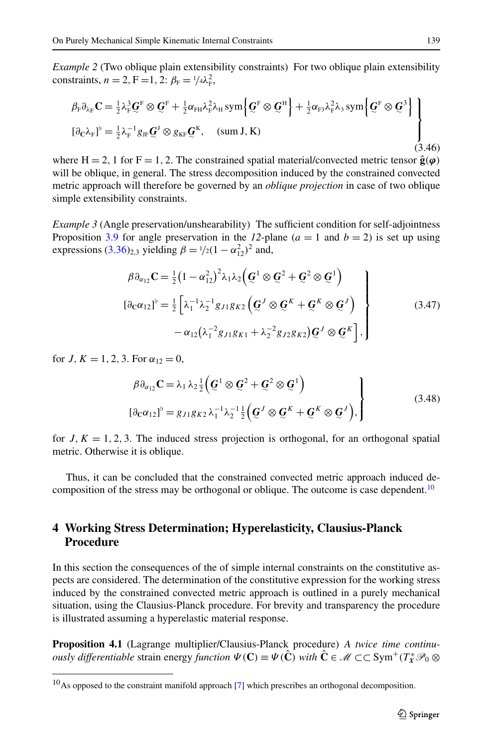<span id="page-16-2"></span>*Example 2* (Two oblique plain extensibility constraints) For two oblique plain extensibility constraints,  $n = 2$ ,  $F = 1$ , 2:  $\beta_F = \frac{1}{4}\lambda_F^2$ ,

$$
\beta_{F}\partial_{\lambda_{F}}C = \frac{1}{2}\lambda_{F}^{3}G^{F} \otimes G^{F} + \frac{1}{2}\alpha_{FH}\lambda_{F}^{2}\lambda_{H} \operatorname{sym} \left\{ G^{F} \otimes G^{H} \right\} + \frac{1}{2}\alpha_{F3}\lambda_{F}^{2}\lambda_{3} \operatorname{sym} \left\{ G^{F} \otimes G^{3} \right\}
$$
\n
$$
\left[ \partial_{C}\lambda_{F} \right]^{b} = \frac{1}{2}\lambda_{F}^{-1}g_{F}G^{J} \otimes g_{KF}G^{K}, \quad (\operatorname{sum } J, K)
$$
\n
$$
(3.46)
$$

where H = 2, 1 for F = 1, 2. The constrained spatial material/convected metric tensor  $\hat{\mathbf{g}}(\boldsymbol{\varphi})$ will be oblique, in general. The stress decomposition induced by the constrained convected metric approach will therefore be governed by an *oblique projection* in case of two oblique simple extensibility constraints.

*Example 3* (Angle preservation/unshearability) The sufficient condition for self-adjointness Proposition [3.9](#page-15-1) for angle preservation in the *12*-plane ( $a = 1$  and  $b = 2$ ) is set up using expressions  $(3.36)_{2,3}$  $(3.36)_{2,3}$  yielding  $\beta = \frac{1}{2}(1 - \alpha_{12}^2)^2$  and,

$$
\beta \partial_{\alpha_{12}} \mathbf{C} = \frac{1}{2} (1 - \alpha_{12}^2)^2 \lambda_1 \lambda_2 \Big( \mathbf{G}^1 \otimes \mathbf{G}^2 + \mathbf{G}^2 \otimes \mathbf{G}^1 \Big) \n\left[ \partial_{\mathbf{C}} \alpha_{12} \right]^{\flat} = \frac{1}{2} \Big[ \lambda_1^{-1} \lambda_2^{-1} g_{J1} g_{K2} \Big( \mathbf{G}^J \otimes \mathbf{G}^K + \mathbf{G}^K \otimes \mathbf{G}^J \Big) \n- \alpha_{12} (\lambda_1^{-2} g_{J1} g_{K1} + \lambda_2^{-2} g_{J2} g_{K2} \Big) \mathbf{G}^J \otimes \mathbf{G}^K \Big],
$$
\n(3.47)

for *J*,  $K = 1, 2, 3$ . For  $\alpha_{12} = 0$ ,

<span id="page-16-3"></span>
$$
\beta \partial_{\alpha_{12}} \mathbf{C} = \lambda_1 \lambda_2 \frac{1}{2} \Big( \mathbf{G}^1 \otimes \mathbf{G}^2 + \mathbf{G}^2 \otimes \mathbf{G}^1 \Big) \n[\partial_{\mathbf{C}} \alpha_{12}]^{\flat} = g_{J1} g_{K2} \lambda_1^{-1} \lambda_2^{-1} \frac{1}{2} \Big( \mathbf{G}^J \otimes \mathbf{G}^K + \mathbf{G}^K \otimes \mathbf{G}^J \Big),
$$
\n(3.48)

<span id="page-16-0"></span>for  $J, K = 1, 2, 3$ . The induced stress projection is orthogonal, for an orthogonal spatial metric. Otherwise it is oblique.

Thus, it can be concluded that the constrained convected metric approach induced de-composition of the stress may be orthogonal or oblique. The outcome is case dependent.<sup>[10](#page-16-1)</sup>

# **4 Working Stress Determination; Hyperelasticity, Clausius-Planck Procedure**

<span id="page-16-1"></span>In this section the consequences of the of simple internal constraints on the constitutive aspects are considered. The determination of the constitutive expression for the working stress induced by the constrained convected metric approach is outlined in a purely mechanical situation, using the Clausius-Planck procedure. For brevity and transparency the procedure is illustrated assuming a hyperelastic material response.

**Proposition 4.1** (Lagrange multiplier/Clausius-Planck procedure) *A twice time continuously differentiable* strain energy *function*  $\Psi(C) \equiv \Psi(\hat{C})$  *with*  $\hat{C} \in \mathcal{M} \subset\subset Sym^+(T_X^*\mathcal{P}_0 \otimes$ 

<sup>&</sup>lt;sup>10</sup>As opposed to the constraint manifold approach [\[7](#page-28-5)] which prescribes an orthogonal decomposition.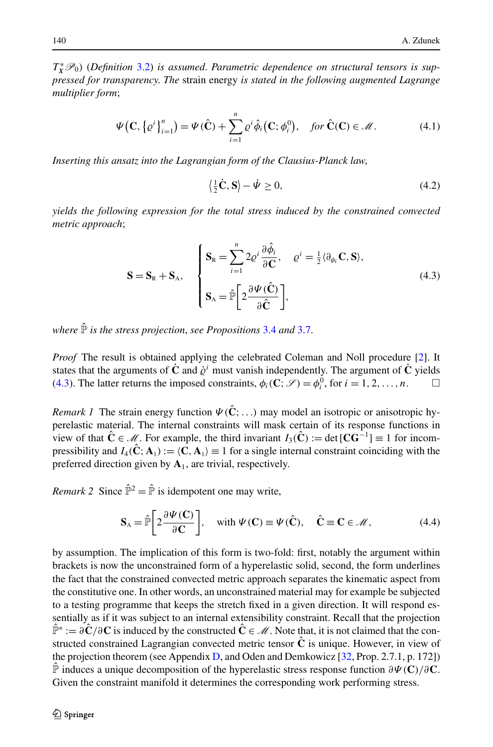*T*<sub>*X*</sub><sup> $\mathcal{P}_0$ ) (*Definition* [3.2\)](#page-7-2) *is assumed. Parametric dependence on structural tensors is sup-*</sup> *pressed for transparency*. *The* strain energy *is stated in the following augmented Lagrange multiplier form*;

$$
\Psi\left(\mathbf{C}, \left\{ \varrho^i \right\}_{i=1}^n \right) = \Psi\left(\hat{\mathbf{C}}\right) + \sum_{i=1}^n \varrho^i \hat{\phi}_i \left(\mathbf{C}; \phi_i^0\right), \quad \text{for } \hat{\mathbf{C}}(\mathbf{C}) \in \mathcal{M}.
$$
 (4.1)

*Inserting this ansatz into the Lagrangian form of the Clausius-Planck law*,

<span id="page-17-0"></span>
$$
\langle \frac{1}{2}\dot{\mathbf{C}}, \mathbf{S} \rangle - \dot{\Psi} \ge 0,\tag{4.2}
$$

*yields the following expression for the total stress induced by the constrained convected metric approach*;

$$
\mathbf{S} = \mathbf{S}_{\mathrm{R}} + \mathbf{S}_{\mathrm{A}}, \quad \begin{cases} \mathbf{S}_{\mathrm{R}} = \sum_{i=1}^{n} 2\varrho^{i} \frac{\partial \hat{\phi}_{i}}{\partial \mathbf{C}}, \quad \varrho^{i} = \frac{1}{2} \langle \partial_{\phi_{i}} \mathbf{C}, \mathbf{S} \rangle, \\ \mathbf{S}_{\mathrm{A}} = \hat{\mathbb{P}} \bigg[ 2 \frac{\partial \Psi(\hat{\mathbf{C}})}{\partial \hat{\mathbf{C}}} \bigg], \end{cases}
$$
(4.3)

*where*  $\hat{P}$  *is the stress projection, see Propositions* [3.4](#page-12-2) *and* [3.7](#page-13-6).

*Proof* The result is obtained applying the celebrated Coleman and Noll procedure [\[2\]](#page-28-11). It states that the arguments of  $\dot{\mathbf{C}}$  and  $\dot{\varrho}^i$  must vanish independently. The argument of  $\dot{\mathbf{C}}$  yields ([4.3\)](#page-17-0). The latter returns the imposed constraints,  $\phi_i(\mathbf{C}; \mathcal{S}) = \phi_i^0$ , for  $i = 1, 2, ..., n$ .

*Remark 1* The strain energy function  $\Psi(\hat{C};...)$  may model an isotropic or anisotropic hyperelastic material. The internal constraints will mask certain of its response functions in view of that  $\hat{\mathbf{C}} \in \mathcal{M}$ . For example, the third invariant  $I_3(\hat{\mathbf{C}}) := \det[\mathbf{C} \mathbf{G}^{-1}] \equiv 1$  for incompressibility and  $I_4(\hat{\mathbf{C}}; \mathbf{A}_1) := \langle \mathbf{C}, \mathbf{A}_1 \rangle \equiv 1$  for a single internal constraint coinciding with the preferred direction given by  $A_1$ , are trivial, respectively.

*Remark 2* Since  $\hat{P}^2 = \hat{P}$  is idempotent one may write,

<span id="page-17-1"></span>
$$
\mathbf{S}_{A} = \hat{\mathbb{P}} \left[ 2 \frac{\partial \Psi(\mathbf{C})}{\partial \mathbf{C}} \right], \quad \text{with } \Psi(\mathbf{C}) \equiv \Psi(\hat{\mathbf{C}}), \quad \hat{\mathbf{C}} \equiv \mathbf{C} \in \mathcal{M}, \tag{4.4}
$$

by assumption. The implication of this form is two-fold: first, notably the argument within brackets is now the unconstrained form of a hyperelastic solid, second, the form underlines the fact that the constrained convected metric approach separates the kinematic aspect from the constitutive one. In other words, an unconstrained material may for example be subjected to a testing programme that keeps the stretch fixed in a given direction. It will respond essentially as if it was subject to an internal extensibility constraint. Recall that the projection Pˆ <sup>∗</sup> := *∂***C**ˆ */∂***C** is induced by the constructed **C**ˆ ∈ M. Note that, it is not claimed that the constructed constrained Lagrangian convected metric tensor  $\hat{C}$  is unique. However, in view of the projection theorem (see Appendix [D](#page-28-17), and Oden and Demkowicz [\[32,](#page-29-9) Prop. 2.7.1, p. 172]) Pˆ induces a unique decomposition of the hyperelastic stress response function *∂Ψ(***C***)/∂***C**. Given the constraint manifold it determines the corresponding work performing stress.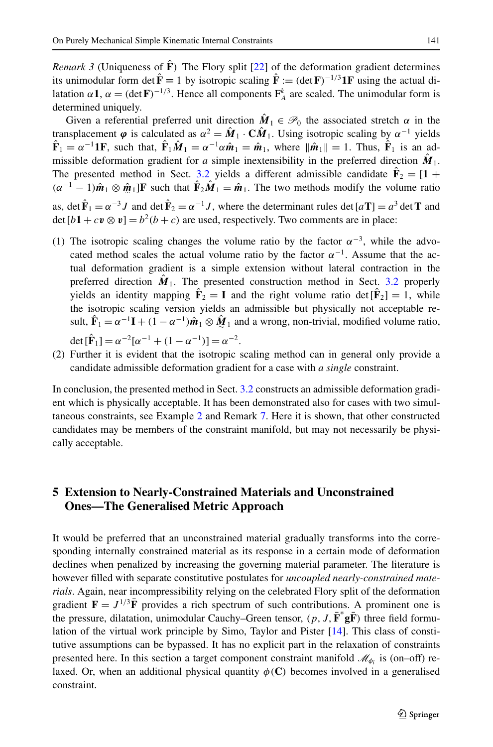*Remark 3* (Uniqueness of  $\hat{\mathbf{F}}$ ) The Flory split [\[22\]](#page-29-10) of the deformation gradient determines its unimodular form det  $\hat{\mathbf{F}} \equiv 1$  by isotropic scaling  $\hat{\mathbf{F}} := (\det \mathbf{F})^{-1/3} \mathbf{1} \mathbf{F}$  using the actual dilatation  $\alpha$ **1**,  $\alpha = (\det \mathbf{F})^{-1/3}$ . Hence all components  $F_A^k$  are scaled. The unimodular form is determined uniquely.

Given a referential preferred unit direction  $\hat{M}_1 \in \mathcal{P}_0$  the associated stretch  $\alpha$  in the transplacement  $\varphi$  is calculated as  $\alpha^2 = \hat{M}_1 \cdot \hat{C} \hat{M}_1$ . Using isotropic scaling by  $\alpha^{-1}$  yields  $\hat{\mathbf{F}}_1 = \alpha^{-1} \mathbf{1} \mathbf{F}$ , such that,  $\hat{\mathbf{F}}_1 \hat{\mathbf{M}}_1 = \alpha^{-1} \alpha \hat{\mathbf{m}}_1 = \hat{\mathbf{m}}_1$ , where  $\|\hat{\mathbf{m}}_1\| = 1$ . Thus,  $\hat{\mathbf{F}}_1$  is an admissible deformation gradient for *a* simple inextensibility in the preferred direction  $\hat{M}_1$ . The presented method in Sect. [3.2](#page-9-0) yields a different admissible candidate  $\hat{F}_2 = [1 +$  $(\alpha^{-1} - 1)\hat{\boldsymbol{m}}_1 \otimes \hat{\boldsymbol{m}}_1$  |**F** such that  $\hat{\mathbf{F}}_2 \hat{\boldsymbol{M}}_1 = \hat{\boldsymbol{m}}_1$ . The two methods modify the volume ratio as, det  $\hat{\mathbf{F}}_1 = \alpha^{-3} J$  and det  $\hat{\mathbf{F}}_2 = \alpha^{-1} J$ , where the determinant rules det  $[a\mathbf{T}] = a^3$  det **T** and  $\det[b\mathbf{1} + c\mathbf{v} \otimes \mathbf{v}] = b^2(b+c)$  are used, respectively. Two comments are in place:

(1) The isotropic scaling changes the volume ratio by the factor  $\alpha^{-3}$ , while the advocated method scales the actual volume ratio by the factor  $\alpha^{-1}$ . Assume that the actual deformation gradient is a simple extension without lateral contraction in the preferred direction  $\hat{M}_1$ . The presented construction method in Sect. [3.2](#page-9-0) properly yields an identity mapping  $\mathbf{\hat{F}}_2 = \mathbf{I}$  and the right volume ratio det  $[\mathbf{\hat{F}}_2] = 1$ , while the isotropic scaling version yields an admissible but physically not acceptable result,  $\hat{\mathbf{F}}_1 = \alpha^{-1}\mathbf{I} + (1 - \alpha^{-1})\hat{\mathbf{m}}_1 \otimes \hat{\mathbf{M}}_1$  and a wrong, non-trivial, modified volume ratio,

 $\det[\hat{\mathbf{F}}_1] = \alpha^{-2}[\alpha^{-1} + (1 - \alpha^{-1})] = \alpha^{-2}.$ 

(2) Further it is evident that the isotropic scaling method can in general only provide a candidate admissible deformation gradient for a case with *a single* constraint.

<span id="page-18-0"></span>In conclusion, the presented method in Sect. [3.2](#page-9-0) constructs an admissible deformation gradient which is physically acceptable. It has been demonstrated also for cases with two simultaneous constraints, see Example [2](#page-16-2) and Remark [7](#page-27-0). Here it is shown, that other constructed candidates may be members of the constraint manifold, but may not necessarily be physically acceptable.

# **5 Extension to Nearly-Constrained Materials and Unconstrained Ones—The Generalised Metric Approach**

It would be preferred that an unconstrained material gradually transforms into the corresponding internally constrained material as its response in a certain mode of deformation declines when penalized by increasing the governing material parameter. The literature is however filled with separate constitutive postulates for *uncoupled nearly-constrained materials*. Again, near incompressibility relying on the celebrated Flory split of the deformation gradient  $\mathbf{F} = J^{1/3}\bar{\mathbf{F}}$  provides a rich spectrum of such contributions. A prominent one is the pressure, dilatation, unimodular Cauchy–Green tensor,  $(p, J, \bar{F}^* g \bar{F})$  three field formulation of the virtual work principle by Simo, Taylor and Pister [[14](#page-28-9)]. This class of constitutive assumptions can be bypassed. It has no explicit part in the relaxation of constraints presented here. In this section a target component constraint manifold  $\mathcal{M}_{\phi_i}$  is (on–off) relaxed. Or, when an additional physical quantity  $\phi(\mathbf{C})$  becomes involved in a generalised constraint.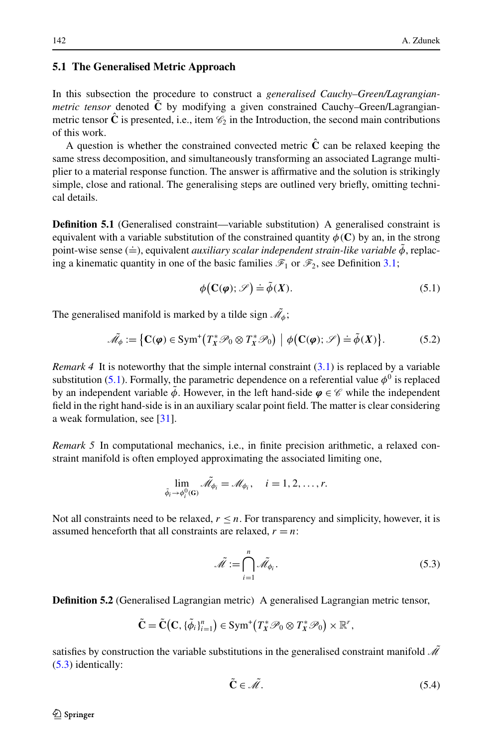#### **5.1 The Generalised Metric Approach**

In this subsection the procedure to construct a *generalised Cauchy–Green/Lagrangianmetric tensor* denoted  $\tilde{C}$  by modifying a given constrained Cauchy–Green/Lagrangianmetric tensor  $\hat{\mathbf{C}}$  is presented, i.e., item  $\mathcal{C}_2$  in the Introduction, the second main contributions of this work.

A question is whether the constrained convected metric  $\hat{C}$  can be relaxed keeping the same stress decomposition, and simultaneously transforming an associated Lagrange multiplier to a material response function. The answer is affirmative and the solution is strikingly simple, close and rational. The generalising steps are outlined very briefly, omitting technical details.

**Definition 5.1** (Generalised constraint—variable substitution) A generalised constraint is equivalent with a variable substitution of the constrained quantity  $\phi(\mathbf{C})$  by an, in the strong point-wise sense ( $\dot{=}$ ), equivalent *auxiliary scalar independent strain-like variable*  $\tilde{\phi}$ , replacing a kinematic quantity in one of the basic families  $\mathscr{F}_1$  or  $\mathscr{F}_2$ , see Definition [3.1;](#page-6-1)

<span id="page-19-2"></span><span id="page-19-0"></span>
$$
\phi\big(\mathbf{C}(\varphi); \mathscr{S}\big) \doteq \tilde{\phi}(X). \tag{5.1}
$$

The generalised manifold is marked by a tilde sign  $\tilde{\mathcal{M}}_{\phi}$ ;

$$
\tilde{\mathcal{M}}_{\phi} := \left\{ \mathbf{C}(\boldsymbol{\varphi}) \in \text{Sym}^+\big( T_X^* \mathcal{P}_0 \otimes T_X^* \mathcal{P}_0 \big) \; \big| \; \boldsymbol{\phi} \big( \mathbf{C}(\boldsymbol{\varphi}); \mathcal{S} \big) \doteq \tilde{\boldsymbol{\phi}}(X) \right\}. \tag{5.2}
$$

*Remark* 4 It is noteworthy that the simple internal constraint  $(3.1)$  is replaced by a variable substitution [\(5.1](#page-19-0)). Formally, the parametric dependence on a referential value  $\phi^0$  is replaced by an independent variable  $\phi$ . However, in the left hand-side  $\phi \in \mathscr{C}$  while the independent field in the right hand-side is in an auxiliary scalar point field. The matter is clear considering a weak formulation, see [[31](#page-29-3)].

*Remark 5* In computational mechanics, i.e., in finite precision arithmetic, a relaxed constraint manifold is often employed approximating the associated limiting one,

$$
\lim_{\tilde{\phi}_i \to \phi_i^0(\mathbf{G})} \tilde{\mathcal{M}}_{\phi_i} = \mathcal{M}_{\phi_i}, \quad i = 1, 2, \dots, r.
$$

Not all constraints need to be relaxed,  $r \leq n$ . For transparency and simplicity, however, it is assumed henceforth that all constraints are relaxed,  $r = n$ :

<span id="page-19-1"></span>
$$
\tilde{\mathscr{M}} := \bigcap_{i=1}^{n} \tilde{\mathscr{M}}_{\phi_i}.
$$
\n(5.3)

**Definition 5.2** (Generalised Lagrangian metric) A generalised Lagrangian metric tensor,

$$
\tilde{\mathbf{C}} = \tilde{\mathbf{C}}(\mathbf{C}, \{\tilde{\phi}_i\}_{i=1}^n) \in \text{Sym}^+\big(T^*_X\mathscr{P}_0 \otimes T^*_X\mathscr{P}_0\big) \times \mathbb{R}^r,
$$

satisfies by construction the variable substitutions in the generalised constraint manifold  $\mathcal M$ ([5.3\)](#page-19-1) identically:

$$
\tilde{\mathbf{C}} \in \tilde{\mathcal{M}}.\tag{5.4}
$$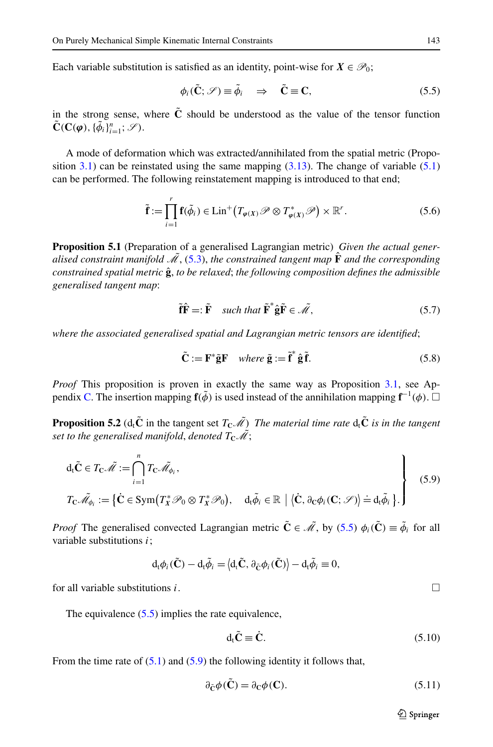Each variable substitution is satisfied as an identity, point-wise for  $X \in \mathcal{P}_0$ ;

<span id="page-20-4"></span><span id="page-20-0"></span>
$$
\phi_i(\tilde{\mathbf{C}}; \mathscr{S}) \equiv \tilde{\phi}_i \quad \Rightarrow \quad \tilde{\mathbf{C}} \equiv \mathbf{C}, \tag{5.5}
$$

in the strong sense, where  $\tilde{C}$  should be understood as the value of the tensor function  $\tilde{\mathbf{C}}(\mathbf{C}(\boldsymbol{\varphi}), \{\tilde{\phi}_i\}_{i=1}^n; \mathscr{S}).$ 

A mode of deformation which was extracted/annihilated from the spatial metric (Propo-sition [3.1\)](#page-10-1) can be reinstated using the same mapping  $(3.13)$ . The change of variable  $(5.1)$  $(5.1)$  $(5.1)$ can be performed. The following reinstatement mapping is introduced to that end;

$$
\tilde{\mathbf{f}} := \prod_{i=1}^{r} \mathbf{f}(\tilde{\phi}_{i}) \in \text{Lin}^{+}\big(T_{\varphi(X)}\mathscr{P}\otimes T_{\varphi(X)}^{*}\mathscr{P}\big) \times \mathbb{R}^{r}.
$$
\n(5.6)

**Proposition 5.1** (Preparation of a generalised Lagrangian metric) *Given the actual generalised constraint manifold*  $\tilde{\mathcal{M}}$ , [\(5.3\)](#page-19-1), *the constrained tangent map* **F** *and the corresponding constrained spatial metric* **g**ˆ, *to be relaxed*; *the following composition defines the admissible generalised tangent map*:

$$
\tilde{\mathbf{f}}\hat{\mathbf{F}} =: \tilde{\mathbf{F}} \quad \text{such that } \tilde{\mathbf{F}}^* \hat{\mathbf{g}} \tilde{\mathbf{F}} \in \tilde{\mathcal{M}}, \tag{5.7}
$$

*where the associated generalised spatial and Lagrangian metric tensors are identified*;

<span id="page-20-1"></span>
$$
\tilde{\mathbf{C}} := \mathbf{F}^* \tilde{\mathbf{g}} \mathbf{F} \quad \text{where } \tilde{\mathbf{g}} := \tilde{\mathbf{f}}^* \hat{\mathbf{g}} \tilde{\mathbf{f}}. \tag{5.8}
$$

*Proof* This proposition is proven in exactly the same way as Proposition [3.1](#page-10-1), see Ap-pendix [C](#page-26-0). The insertion mapping  $f(\tilde{\phi})$  is used instead of the annihilation mapping  $f^{-1}(\phi)$ .  $\Box$ 

**Proposition 5.2** ( $d_t\tilde{C}$  in the tangent set  $T_c\tilde{M}$ ) *The material time rate*  $d_t\tilde{C}$  *is in the tangent set to the generalised manifold, denoted*  $T_c \tilde{M}$ ;

$$
d_t \tilde{C} \in T_{C} \tilde{\mathscr{M}} := \bigcap_{i=1}^{n} T_{C} \tilde{\mathscr{M}}_{\phi_i},
$$
  
\n
$$
T_{C} \tilde{\mathscr{M}}_{\phi_i} := \{ \dot{C} \in \text{Sym}(T_X^* \mathscr{P}_0 \otimes T_X^* \mathscr{P}_0), \quad d_t \tilde{\phi}_i \in \mathbb{R} \mid \langle \dot{C}, \partial_C \phi_i(C; \mathscr{S}) \rangle \doteq d_t \tilde{\phi}_i \}.
$$
\n
$$
(5.9)
$$

*Proof* The generalised convected Lagrangian metric  $\tilde{C} \in \tilde{\mathcal{M}}$ , by ([5.5](#page-20-0))  $\phi_i(\tilde{C}) \equiv \tilde{\phi}_i$  for all variable substitutions *i*;

$$
d_t \phi_i(\tilde{\mathbf{C}}) - d_t \tilde{\phi}_i = \langle d_t \tilde{\mathbf{C}}, \partial_{\tilde{\mathbf{C}}} \phi_i(\tilde{\mathbf{C}}) \rangle - d_t \tilde{\phi}_i \equiv 0,
$$

for all variable substitutions *i*. -

The equivalence [\(5.5\)](#page-20-0) implies the rate equivalence,

$$
d_t \tilde{C} \equiv \dot{C}.
$$
 (5.10)

From the time rate of  $(5.1)$  $(5.1)$  and  $(5.9)$  $(5.9)$  the following identity it follows that,

$$
\partial_{\tilde{C}} \phi(\tilde{C}) = \partial_C \phi(C). \tag{5.11}
$$

 $\mathcal{D}$  Springer

<span id="page-20-3"></span><span id="page-20-2"></span>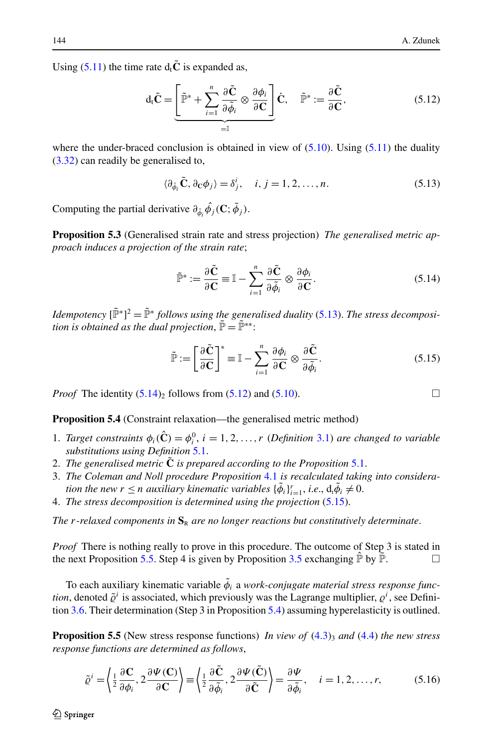Using  $(5.11)$  $(5.11)$  the time rate  $d_t\tilde{C}$  is expanded as,

<span id="page-21-2"></span><span id="page-21-0"></span>
$$
d_t \tilde{C} = \underbrace{\left[\tilde{\mathbb{P}}^* + \sum_{i=1}^n \frac{\partial \tilde{C}}{\partial \tilde{\phi}_i} \otimes \frac{\partial \phi_i}{\partial C}\right]}_{=I} \dot{C}, \quad \tilde{\mathbb{P}}^* := \frac{\partial \tilde{C}}{\partial C}, \tag{5.12}
$$

where the under-braced conclusion is obtained in view of  $(5.10)$  $(5.10)$ . Using  $(5.11)$  $(5.11)$  $(5.11)$  the duality ([3.32\)](#page-13-1) can readily be generalised to,

<span id="page-21-1"></span>
$$
\langle \partial_{\tilde{\phi}_i} \tilde{\mathbf{C}}, \partial_{\mathbf{C}} \phi_j \rangle = \delta_j^i, \quad i, j = 1, 2, \dots, n. \tag{5.13}
$$

Computing the partial derivative  $\partial_{\tilde{\phi}_i} \hat{\phi}_j(\mathbf{C}; \tilde{\phi}_j)$ .

**Proposition 5.3** (Generalised strain rate and stress projection) *The generalised metric approach induces a projection of the strain rate*;

<span id="page-21-5"></span>
$$
\tilde{\mathbb{P}}^* := \frac{\partial \tilde{\mathbf{C}}}{\partial \mathbf{C}} \equiv \mathbb{I} - \sum_{i=1}^n \frac{\partial \tilde{\mathbf{C}}}{\partial \tilde{\phi}_i} \otimes \frac{\partial \phi_i}{\partial \mathbf{C}}.
$$
\n(5.14)

*Idempotency*  $[\tilde{\mathbb{P}}^*]^2 = \tilde{\mathbb{P}}^*$  *follows using the generalised duality* ([5.13](#page-21-0)). The stress decomposi*tion is obtained as the dual projection*,  $\tilde{\mathbb{P}} = \tilde{\mathbb{P}}^{**}$ :

$$
\tilde{\mathbb{P}} := \left[ \frac{\partial \tilde{\mathbf{C}}}{\partial \mathbf{C}} \right]^* \equiv \mathbb{I} - \sum_{i=1}^n \frac{\partial \phi_i}{\partial \mathbf{C}} \otimes \frac{\partial \tilde{\mathbf{C}}}{\partial \tilde{\phi}_i}.
$$
\n(5.15)

*Proof* The identity  $(5.14)$ <sub>2</sub> follows from  $(5.12)$  $(5.12)$  and  $(5.10)$  $(5.10)$  $(5.10)$ .

**Proposition 5.4** (Constraint relaxation—the generalised metric method)

- 1. *Target constraints*  $\phi_i(\hat{\mathbf{C}}) = \phi_i^0$ ,  $i = 1, 2, ..., r$  (Definition [3.1](#page-6-1)) are changed to variable *substitutions using Definition* [5.1.](#page-19-2)
- 2. *The generalised metric* **C** *is prepared according to the Proposition* [5.1](#page-20-4).
- 3. *The Coleman and Noll procedure Proposition* [4.1](#page-16-3) *is recalculated taking into consideration the new r*  $\leq$  *n auxiliary kinematic variables*  $\{\tilde{\phi}_i\}_{i=1}^r$ , *i.e.*,  $d_i\tilde{\phi}_i \neq 0$ .
- 4. *The stress decomposition is determined using the projection* ([5.15](#page-21-3)).

*The r-relaxed components in*  $S_R$  *are no longer reactions but constitutively determinate.* 

<span id="page-21-4"></span>*Proof* There is nothing really to prove in this procedure. The outcome of Step 3 is stated in the next Proposition [5.5](#page-21-4). Step 4 is given by Proposition [3.5](#page-13-3) exchanging  $\mathbb{P}$  by  $\mathbb{P}$ .

To each auxiliary kinematic variable  $\tilde{\phi}_i$  a *work-conjugate material stress response function*, denoted  $\tilde{\varrho}^i$  is associated, which previously was the Lagrange multiplier,  $\varrho^i$ , see Definition [3.6](#page-8-3). Their determination (Step 3 in Proposition [5.4\)](#page-21-5) assuming hyperelasticity is outlined.

**Proposition 5.5** (New stress response functions) *In view of* ([4.3](#page-17-0))<sub>3</sub> *and* [\(4.4\)](#page-17-1) *the new stress response functions are determined as follows*,

$$
\tilde{\varrho}^{i} = \left\langle \frac{1}{2} \frac{\partial \mathbf{C}}{\partial \phi_{i}}, 2 \frac{\partial \Psi(\mathbf{C})}{\partial \mathbf{C}} \right\rangle \equiv \left\langle \frac{1}{2} \frac{\partial \tilde{\mathbf{C}}}{\partial \tilde{\phi}_{i}}, 2 \frac{\partial \Psi(\tilde{\mathbf{C}})}{\partial \tilde{\mathbf{C}}} \right\rangle = \frac{\partial \Psi}{\partial \tilde{\phi}_{i}}, \quad i = 1, 2, \dots, r,
$$
\n(5.16)

 $\mathcal{D}$  Springer

<span id="page-21-6"></span><span id="page-21-3"></span>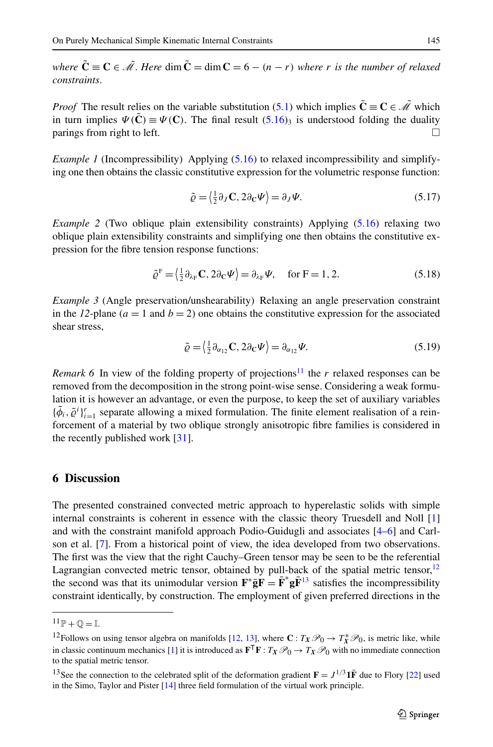*where*  $\tilde{\mathbf{C}} \equiv \mathbf{C} \in \tilde{\mathcal{M}}$ . Here  $\dim \tilde{\mathbf{C}} = \dim \mathbf{C} = 6 - (n - r)$  where r is the number of relaxed *constraints*.

*Proof* The result relies on the variable substitution [\(5.1\)](#page-19-0) which implies  $\tilde{C} \equiv C \in \tilde{\mathcal{M}}$  which in turn implies  $\Psi(\mathbf{C}) = \Psi(\mathbf{C})$ . The final result  $(5.16)$ <sub>3</sub> is understood folding the duality parings from right to left. -

*Example 1* (Incompressibility) Applying  $(5.16)$  to relaxed incompressibility and simplifying one then obtains the classic constitutive expression for the volumetric response function:

$$
\tilde{\varrho} = \left\langle \frac{1}{2} \partial_J \mathbf{C}, 2 \partial_{\mathbf{C}} \Psi \right\rangle = \partial_J \Psi. \tag{5.17}
$$

*Example 2* (Two oblique plain extensibility constraints) Applying [\(5.16](#page-21-6)) relaxing two oblique plain extensibility constraints and simplifying one then obtains the constitutive expression for the fibre tension response functions:

$$
\tilde{\varrho}^{\mathrm{F}} = \left\langle \frac{1}{2} \partial_{\lambda_{\mathrm{F}}} \mathbf{C}, 2 \partial_{\mathbf{C}} \Psi \right\rangle = \partial_{\lambda_{\mathrm{F}}} \Psi, \quad \text{for } \mathrm{F} = 1, 2. \tag{5.18}
$$

*Example 3* (Angle preservation/unshearability) Relaxing an angle preservation constraint in the *12*-plane ( $a = 1$  and  $b = 2$ ) one obtains the constitutive expression for the associated shear stress,

$$
\tilde{\varrho} = \left\langle \frac{1}{2} \partial_{\alpha_{12}} \mathbf{C}, 2 \partial_{\mathbf{C}} \Psi \right\rangle = \partial_{\alpha_{12}} \Psi. \tag{5.19}
$$

<span id="page-22-0"></span>*Remark 6* In view of the folding property of projections<sup>[11](#page-22-1)</sup> the *r* relaxed responses can be removed from the decomposition in the strong point-wise sense. Considering a weak formulation it is however an advantage, or even the purpose, to keep the set of auxiliary variables  ${\{\tilde{\phi}_i,\tilde{\varrho}^i\}_{i=1}^r}$  separate allowing a mixed formulation. The finite element realisation of a reinforcement of a material by two oblique strongly anisotropic fibre families is considered in the recently published work [[31](#page-29-3)].

# **6 Discussion**

<span id="page-22-2"></span><span id="page-22-1"></span>The presented constrained convected metric approach to hyperelastic solids with simple internal constraints is coherent in essence with the classic theory Truesdell and Noll [[1](#page-28-0)] and with the constraint manifold approach Podio-Guidugli and associates [[4](#page-28-3)[–6](#page-28-4)] and Carlson et al. [[7](#page-28-5)]. From a historical point of view, the idea developed from two observations. The first was the view that the right Cauchy–Green tensor may be seen to be the referential Lagrangian convected metric tensor, obtained by pull-back of the spatial metric tensor,  $12$ the second was that its unimodular version  $\mathbf{F}^* \bar{\mathbf{g}} \bar{\mathbf{F}} = \bar{\mathbf{F}}^* \mathbf{g} \bar{\mathbf{F}}^{13}$  $\mathbf{F}^* \bar{\mathbf{g}} \bar{\mathbf{F}} = \bar{\mathbf{F}}^* \mathbf{g} \bar{\mathbf{F}}^{13}$  $\mathbf{F}^* \bar{\mathbf{g}} \bar{\mathbf{F}} = \bar{\mathbf{F}}^* \mathbf{g} \bar{\mathbf{F}}^{13}$  satisfies the incompressibility constraint identically, by construction. The employment of given preferred directions in the

<span id="page-22-3"></span> $^{11}$   $\mathbb{P} + \mathbb{O} = \mathbb{I}$ .

<sup>&</sup>lt;sup>[12](#page-28-18)</sup>Follows on using tensor algebra on manifolds [12, [13\]](#page-28-19), where  $C: T_X \mathcal{P}_0 \to T_X^* \mathcal{P}_0$ , is metric like, while in classic continuum mechanics [[1\]](#page-28-0) it is introduced as  $\mathbf{F}^T\mathbf{F}: T_X\mathcal{P}_0 \to T_X\mathcal{P}_0$  with no immediate connection to the spatial metric tensor.

<sup>&</sup>lt;sup>13</sup>See the connection to the celebrated split of the deformation gradient  $\mathbf{F} = J^{1/3} \mathbf{1} \bar{\mathbf{F}}$  due to Flory [\[22\]](#page-29-10) used in the Simo, Taylor and Pister [\[14](#page-28-9)] three field formulation of the virtual work principle.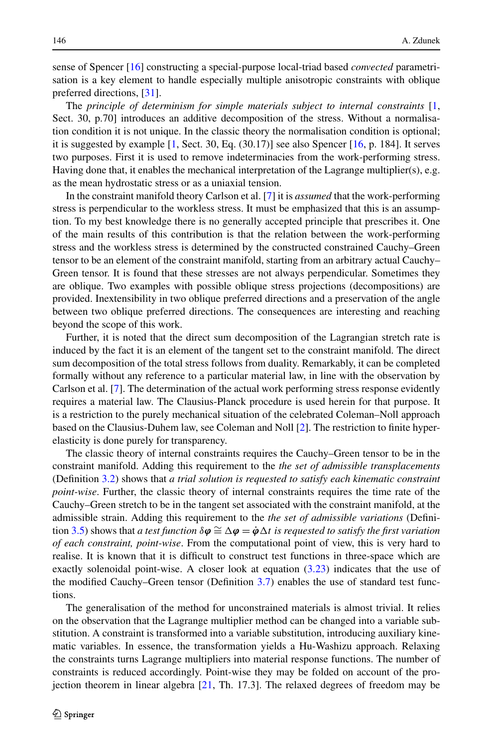sense of Spencer [[16](#page-28-13)] constructing a special-purpose local-triad based *convected* parametrisation is a key element to handle especially multiple anisotropic constraints with oblique preferred directions, [\[31\]](#page-29-3).

The *principle of determinism for simple materials subject to internal constraints* [\[1](#page-28-0), Sect. 30, p.70] introduces an additive decomposition of the stress. Without a normalisation condition it is not unique. In the classic theory the normalisation condition is optional; it is suggested by example  $[1, \text{ Sect. 30, Eq. (30.17)}]$  $[1, \text{ Sect. 30, Eq. (30.17)}]$  $[1, \text{ Sect. 30, Eq. (30.17)}]$  see also Spencer  $[16, p. 184]$  $[16, p. 184]$  $[16, p. 184]$ . It serves two purposes. First it is used to remove indeterminacies from the work-performing stress. Having done that, it enables the mechanical interpretation of the Lagrange multiplier(s), e.g. as the mean hydrostatic stress or as a uniaxial tension.

In the constraint manifold theory Carlson et al. [[7\]](#page-28-5) it is *assumed* that the work-performing stress is perpendicular to the workless stress. It must be emphasized that this is an assumption. To my best knowledge there is no generally accepted principle that prescribes it. One of the main results of this contribution is that the relation between the work-performing stress and the workless stress is determined by the constructed constrained Cauchy–Green tensor to be an element of the constraint manifold, starting from an arbitrary actual Cauchy– Green tensor. It is found that these stresses are not always perpendicular. Sometimes they are oblique. Two examples with possible oblique stress projections (decompositions) are provided. Inextensibility in two oblique preferred directions and a preservation of the angle between two oblique preferred directions. The consequences are interesting and reaching beyond the scope of this work.

Further, it is noted that the direct sum decomposition of the Lagrangian stretch rate is induced by the fact it is an element of the tangent set to the constraint manifold. The direct sum decomposition of the total stress follows from duality. Remarkably, it can be completed formally without any reference to a particular material law, in line with the observation by Carlson et al. [[7](#page-28-5)]. The determination of the actual work performing stress response evidently requires a material law. The Clausius-Planck procedure is used herein for that purpose. It is a restriction to the purely mechanical situation of the celebrated Coleman–Noll approach based on the Clausius-Duhem law, see Coleman and Noll [\[2](#page-28-11)]. The restriction to finite hyperelasticity is done purely for transparency.

The classic theory of internal constraints requires the Cauchy–Green tensor to be in the constraint manifold. Adding this requirement to the *the set of admissible transplacements* (Definition [3.2\)](#page-7-2) shows that *a trial solution is requested to satisfy each kinematic constraint point-wise*. Further, the classic theory of internal constraints requires the time rate of the Cauchy–Green stretch to be in the tangent set associated with the constraint manifold, at the admissible strain. Adding this requirement to the *the set of admissible variations* (Defini-tion [3.5](#page-8-0)) shows that *a test function*  $\delta \varphi \cong \Delta \varphi = \dot{\varphi} \Delta t$  *is requested to satisfy the first variation of each constraint, point-wise*. From the computational point of view, this is very hard to realise. It is known that it is difficult to construct test functions in three-space which are exactly solenoidal point-wise. A closer look at equation [\(3.23\)](#page-11-4) indicates that the use of the modified Cauchy–Green tensor (Definition [3.7](#page-9-5)) enables the use of standard test functions.

The generalisation of the method for unconstrained materials is almost trivial. It relies on the observation that the Lagrange multiplier method can be changed into a variable substitution. A constraint is transformed into a variable substitution, introducing auxiliary kinematic variables. In essence, the transformation yields a Hu-Washizu approach. Relaxing the constraints turns Lagrange multipliers into material response functions. The number of constraints is reduced accordingly. Point-wise they may be folded on account of the projection theorem in linear algebra [\[21,](#page-29-8) Th. 17.3]. The relaxed degrees of freedom may be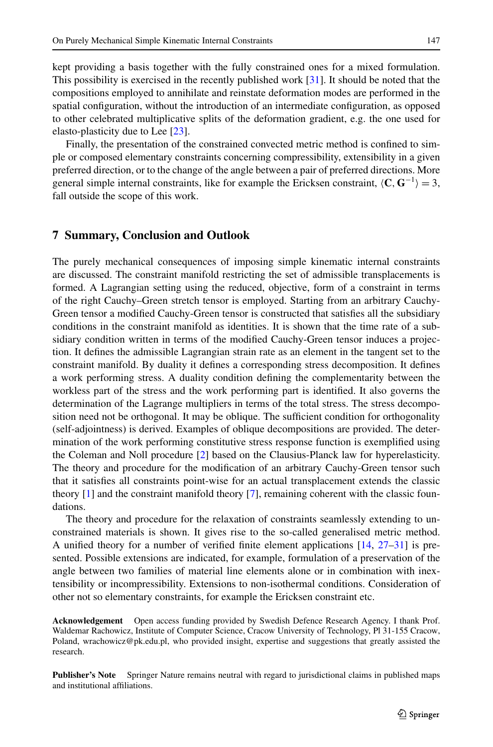kept providing a basis together with the fully constrained ones for a mixed formulation. This possibility is exercised in the recently published work  $[31]$  $[31]$  $[31]$ . It should be noted that the compositions employed to annihilate and reinstate deformation modes are performed in the spatial configuration, without the introduction of an intermediate configuration, as opposed to other celebrated multiplicative splits of the deformation gradient, e.g. the one used for elasto-plasticity due to Lee [[23](#page-29-11)].

<span id="page-24-0"></span>Finally, the presentation of the constrained convected metric method is confined to simple or composed elementary constraints concerning compressibility, extensibility in a given preferred direction, or to the change of the angle between a pair of preferred directions. More general simple internal constraints, like for example the Ericksen constraint,  $\langle C, G^{-1} \rangle = 3$ , fall outside the scope of this work.

#### **7 Summary, Conclusion and Outlook**

The purely mechanical consequences of imposing simple kinematic internal constraints are discussed. The constraint manifold restricting the set of admissible transplacements is formed. A Lagrangian setting using the reduced, objective, form of a constraint in terms of the right Cauchy–Green stretch tensor is employed. Starting from an arbitrary Cauchy-Green tensor a modified Cauchy-Green tensor is constructed that satisfies all the subsidiary conditions in the constraint manifold as identities. It is shown that the time rate of a subsidiary condition written in terms of the modified Cauchy-Green tensor induces a projection. It defines the admissible Lagrangian strain rate as an element in the tangent set to the constraint manifold. By duality it defines a corresponding stress decomposition. It defines a work performing stress. A duality condition defining the complementarity between the workless part of the stress and the work performing part is identified. It also governs the determination of the Lagrange multipliers in terms of the total stress. The stress decomposition need not be orthogonal. It may be oblique. The sufficient condition for orthogonality (self-adjointness) is derived. Examples of oblique decompositions are provided. The determination of the work performing constitutive stress response function is exemplified using the Coleman and Noll procedure [\[2](#page-28-11)] based on the Clausius-Planck law for hyperelasticity. The theory and procedure for the modification of an arbitrary Cauchy-Green tensor such that it satisfies all constraints point-wise for an actual transplacement extends the classic theory [[1](#page-28-0)] and the constraint manifold theory [[7\]](#page-28-5), remaining coherent with the classic foundations.

The theory and procedure for the relaxation of constraints seamlessly extending to unconstrained materials is shown. It gives rise to the so-called generalised metric method. A unified theory for a number of verified finite element applications [[14](#page-28-9), [27–](#page-29-1)[31\]](#page-29-3) is presented. Possible extensions are indicated, for example, formulation of a preservation of the angle between two families of material line elements alone or in combination with inextensibility or incompressibility. Extensions to non-isothermal conditions. Consideration of other not so elementary constraints, for example the Ericksen constraint etc.

**Acknowledgement** Open access funding provided by Swedish Defence Research Agency. I thank Prof. Waldemar Rachowicz, Institute of Computer Science, Cracow University of Technology, Pl 31-155 Cracow, Poland, wrachowicz@pk.edu.pl, who provided insight, expertise and suggestions that greatly assisted the research.

**Publisher's Note** Springer Nature remains neutral with regard to jurisdictional claims in published maps and institutional affiliations.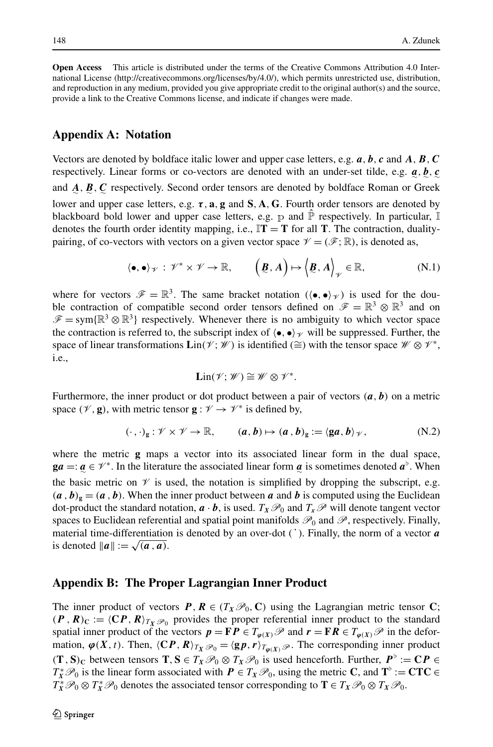<span id="page-25-0"></span>**Open Access** This article is distributed under the terms of the Creative Commons Attribution 4.0 International License (http://creativecommons.org/licenses/by/4.0/), which permits unrestricted use, distribution, and reproduction in any medium, provided you give appropriate credit to the original author(s) and the source, provide a link to the Creative Commons license, and indicate if changes were made.

# **Appendix A: Notation**

Vectors are denoted by boldface italic lower and upper case letters, e.g. *a, b, c* and *A, B, C* respectively. Linear forms or co-vectors are denoted with an under-set tilde, e.g. *a*<sub>∪</sub>, *b*<sub>∪</sub>, *c* and *A*, *B*, *C* respectively. Second order tensors are denoted by boldface Roman or Greek lower and upper case letters, e.g. *τ ,* **a***,* **g** and **S***,* **A***,***G**. Fourth order tensors are denoted by blackboard bold lower and upper case letters, e.g. p and  $\hat{P}$  respectively. In particular,  $\mathbb{I}$ denotes the fourth order identity mapping, i.e.,  $\mathbb{I}T = T$  for all T. The contraction, dualitypairing, of co-vectors with vectors on a given vector space  $\mathcal{V} = (\mathcal{F}; \mathbb{R})$ , is denoted as,

$$
\langle \bullet, \bullet \rangle_{\mathscr{V}} : \mathscr{V}^* \times \mathscr{V} \to \mathbb{R}, \qquad \left( \underline{B}, A \right) \mapsto \left\langle \underline{B}, A \right\rangle_{\mathscr{V}} \in \mathbb{R}, \tag{N.1}
$$

where for vectors  $\mathscr{F} = \mathbb{R}^3$ . The same bracket notation  $((\bullet, \bullet)_{\mathscr{V}})$  is used for the double contraction of compatible second order tensors defined on  $\mathscr{F} = \mathbb{R}^3 \otimes \mathbb{R}^3$  and on  $\mathscr{F} = \text{sym}(\mathbb{R}^3 \otimes \mathbb{R}^3)$  respectively. Whenever there is no ambiguity to which vector space the contraction is referred to, the subscript index of  $\langle \bullet, \bullet \rangle_{\mathcal{V}}$  will be suppressed. Further, the space of linear transformations  $\text{Lin}(\mathcal{V}; \mathcal{W})$  is identified ( $\cong$ ) with the tensor space  $\mathcal{W} \otimes \mathcal{V}^*$ , i.e.,

<span id="page-25-2"></span>
$$
\text{Lin}(\mathscr{V};\mathscr{W})\cong \mathscr{W}\otimes \mathscr{V}^*.
$$

Furthermore, the inner product or dot product between a pair of vectors *(a, b)* on a metric space  $(\mathcal{V}, \mathbf{g})$ , with metric tensor  $\mathbf{g} : \mathcal{V} \to \mathcal{V}^*$  is defined by,

$$
(\cdot,\cdot)_{g}: \mathscr{V} \times \mathscr{V} \to \mathbb{R}, \qquad (a,b) \mapsto (a,b)_{g} := \langle ga,b \rangle_{\mathscr{V}}, \qquad (N.2)
$$

<span id="page-25-1"></span>where the metric **g** maps a vector into its associated linear form in the dual space, **g***a* = :  $a \in \mathcal{V}^*$ . In the literature the associated linear form  $\overline{a}$  is sometimes denoted  $a^{\circ}$ . When the basic metric on  $\mathcal V$  is used, the notation is simplified by dropping the subscript, e.g.  $(a, b)_g = (a, b)$ . When the inner product between *a* and *b* is computed using the Euclidean dot-product the standard notation,  $\mathbf{a} \cdot \mathbf{b}$ , is used.  $T_X \mathcal{P}_0$  and  $T_X \mathcal{P}$  will denote tangent vector spaces to Euclidean referential and spatial point manifolds  $\mathscr{P}_0$  and  $\mathscr{P}_1$ , respectively. Finally, material time-differentiation is denoted by an over-dot (˙). Finally, the norm of a vector *a*  $\text{linear and time-direction (a)}$ <br>is denoted  $\|\mathbf{a}\| := \sqrt{(\mathbf{a}, \mathbf{a})}$ .

#### **Appendix B: The Proper Lagrangian Inner Product**

The inner product of vectors  $P$ *,* $R \in (T_X \mathcal{P}_0, C)$  using the Lagrangian metric tensor **C**;  $(P, R)$ <sub>C</sub> :=  $\langle CP, R \rangle_{T_x}$   $\mathcal{P}_0$  provides the proper referential inner product to the standard spatial inner product of the vectors  $p = \mathbf{F} \mathbf{P} \in T_{\varphi(X)} \mathcal{P}$  and  $r = \mathbf{F} \mathbf{R} \in T_{\varphi(X)} \mathcal{P}$  in the deformation,  $\varphi(X, t)$ . Then,  $\langle CP, R \rangle_{T_X \mathscr{P}_0} = \langle gp, r \rangle_{T_{\varphi(X)}} \mathscr{P}$ . The corresponding inner product  $(T, S)$ <sup>C</sup> between tensors  $T, S \in T_X \mathcal{P}_0 \otimes T_X \mathcal{P}_0$  is used henceforth. Further,  $P^{\flat} := CP \in$  $T_X^* \mathcal{P}_0$  is the linear form associated with  $P \in T_X \mathcal{P}_0$ , using the metric **C**, and  $T^{\flat} :=$  **CTC** ∈  $T_X^* \mathcal{P}_0 \otimes T_X^* \mathcal{P}_0$  denotes the associated tensor corresponding to  $\mathbf{T} \in T_X \mathcal{P}_0 \otimes T_X \mathcal{P}_0$ .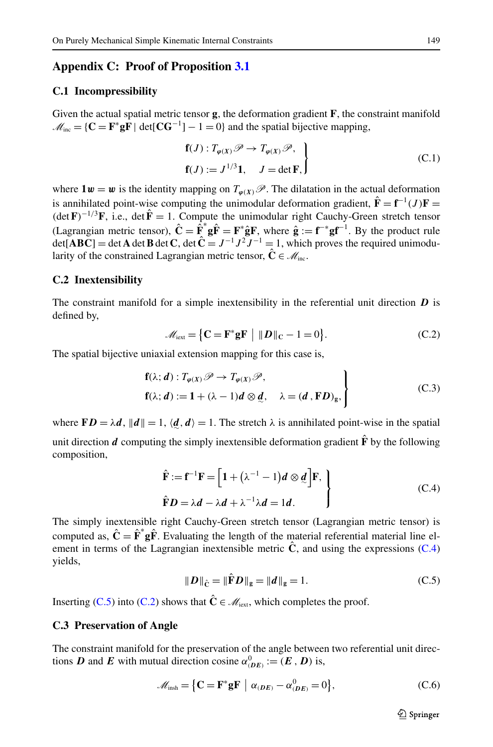#### <span id="page-26-1"></span><span id="page-26-0"></span>**Appendix C: Proof of Proposition [3.1](#page-10-1)**

#### **C.1 Incompressibility**

Given the actual spatial metric tensor **g**, the deformation gradient **F**, the constraint manifold  $\mathcal{M}_{inc} = \{ \mathbf{C} = \mathbf{F}^* \mathbf{g} \mathbf{F} \mid \det[\mathbf{C} \mathbf{G}^{-1}] - 1 = 0 \}$  and the spatial bijective mapping,

<span id="page-26-6"></span>
$$
\mathbf{f}(J) : T_{\varphi(X)} \mathscr{P} \to T_{\varphi(X)} \mathscr{P},
$$
  
\n
$$
\mathbf{f}(J) := J^{1/3} \mathbf{1}, \quad J = \det \mathbf{F},
$$
\n(C.1)

<span id="page-26-2"></span>where  $1\mathbf{w} = \mathbf{w}$  is the identity mapping on  $T_{\mathbf{w}(X)}\mathcal{P}$ . The dilatation in the actual deformation is annihilated point-wise computing the unimodular deformation gradient,  $\hat{\mathbf{F}} = \mathbf{f}^{-1}(J)\mathbf{F} =$  $(\det \mathbf{F})^{-1/3}\mathbf{F}$ , i.e.,  $\det \mathbf{F} = 1$ . Compute the unimodular right Cauchy-Green stretch tensor (Lagrangian metric tensor),  $\hat{\mathbf{C}} = \hat{\mathbf{F}}^* \mathbf{g} \hat{\mathbf{F}} = \mathbf{F}^* \hat{\mathbf{g}} \mathbf{F}$ , where  $\hat{\mathbf{g}} := \mathbf{f}^{-*} \mathbf{g} \mathbf{f}^{-1}$ . By the product rule  $\det[\mathbf{ABC}] = \det \mathbf{A} \det \mathbf{B} \det \mathbf{C}$ ,  $\det \hat{\mathbf{C}} = J^{-1}J^2J^{-1} = 1$ , which proves the required unimodularity of the constrained Lagrangian metric tensor,  $\hat{\mathbf{C}} \in \mathcal{M}_{\text{inc}}$ .

#### **C.2 Inextensibility**

The constraint manifold for a simple inextensibility in the referential unit direction *D* is defined by,

<span id="page-26-8"></span><span id="page-26-4"></span>
$$
\mathcal{M}_{\text{text}} = \{ \mathbf{C} = \mathbf{F}^* \mathbf{g} \mathbf{F} \mid \|\mathbf{D}\|_{\mathbf{C}} - 1 = 0 \}. \tag{C.2}
$$

The spatial bijective uniaxial extension mapping for this case is,

$$
\mathbf{f}(\lambda; \mathbf{d}) : T_{\varphi(X)} \mathscr{P} \to T_{\varphi(X)} \mathscr{P},
$$
  
\n
$$
\mathbf{f}(\lambda; \mathbf{d}) := \mathbf{1} + (\lambda - 1) \mathbf{d} \otimes \mathbf{d}, \quad \lambda = (\mathbf{d}, \mathbf{F} \mathbf{D})_{\mathbf{g}},
$$
\n(C.3)

where  $\mathbf{F}\mathbf{D} = \lambda \mathbf{d}$ ,  $\|\mathbf{d}\| = 1$ ,  $\langle \mathbf{d}, \mathbf{d} \rangle = 1$ . The stretch  $\lambda$  is annihilated point-wise in the spatial unit direction *d* computing the simply inextensible deformation gradient  $\hat{F}$  by the following composition,

<span id="page-26-5"></span>
$$
\hat{\mathbf{F}} := \mathbf{f}^{-1} \mathbf{F} = \left[ \mathbf{1} + (\lambda^{-1} - 1) \mathbf{d} \otimes \mathbf{d} \right] \mathbf{F},
$$
\n
$$
\hat{\mathbf{F}} \mathbf{D} = \lambda \mathbf{d} - \lambda \mathbf{d} + \lambda^{-1} \lambda \mathbf{d} = 1 \mathbf{d}.
$$
\n(C.4)

<span id="page-26-3"></span>The simply inextensible right Cauchy-Green stretch tensor (Lagrangian metric tensor) is computed as,  $\hat{\mathbf{C}} = \hat{\mathbf{F}}^* \mathbf{g} \hat{\mathbf{F}}$ . Evaluating the length of the material referential material line element in terms of the Lagrangian inextensible metric  $\hat{C}$ , and using the expressions ([C.4](#page-26-4)) yields,

$$
||D||_{\hat{C}} = ||\hat{F}D||_{g} = ||d||_{g} = 1.
$$
 (C.5)

Inserting ([C.5](#page-26-5)) into [\(C.2\)](#page-26-6) shows that  $\hat{\mathbf{C}} \in \mathcal{M}_{\text{text}}$ , which completes the proof.

#### **C.3 Preservation of Angle**

The constraint manifold for the preservation of the angle between two referential unit directions *D* and *E* with mutual direction cosine  $\alpha_{(DE)}^0 := (E, D)$  is,

$$
\mathcal{M}_{\text{insh}} = \left\{ \mathbf{C} = \mathbf{F}^* \mathbf{g} \mathbf{F} \mid \alpha_{(DE)} - \alpha_{(DE)}^0 = 0 \right\},\tag{C.6}
$$

<span id="page-26-7"></span> $\mathcal{D}$  Springer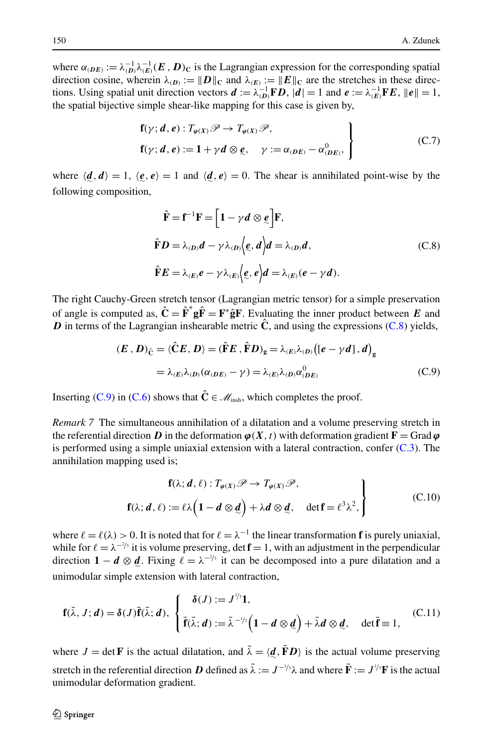where  $\alpha_{(DE)} := \lambda_{(D)}^{-1} \lambda_{(E)}^{-1} (E, D)_{C}$  is the Lagrangian expression for the corresponding spatial direction cosine, wherein  $\lambda_{(D)} := ||D||_{C}$  and  $\lambda_{(E)} := ||E||_{C}$  are the stretches in these directions. Using spatial unit direction vectors  $d := \lambda_{(D)}^{-1} \mathbf{F} D$ ,  $|d| = 1$  and  $e := \lambda_{(E)}^{-1} \mathbf{F} E$ ,  $||e|| = 1$ , the spatial bijective simple shear-like mapping for this case is given by,

$$
\mathbf{f}(\gamma; d, e) : T_{\varphi(X)} \mathscr{P} \to T_{\varphi(X)} \mathscr{P},
$$
  
\n
$$
\mathbf{f}(\gamma; d, e) := 1 + \gamma d \otimes \varrho, \quad \gamma := \alpha_{(DE)} - \alpha_{(DE)}^0,
$$
 (C.7)

where  $\langle d, d \rangle = 1$ ,  $\langle e, e \rangle = 1$  and  $\langle d, e \rangle = 0$ . The shear is annihilated point-wise by the following composition,

<span id="page-27-2"></span><span id="page-27-1"></span>
$$
\hat{\mathbf{F}} = \mathbf{f}^{-1} \mathbf{F} = \left[1 - \gamma d \otimes \mathbf{g}\right] \mathbf{F},
$$
\n
$$
\hat{\mathbf{F}} \mathbf{D} = \lambda_{(D)} d - \gamma \lambda_{(D)} \Big(\mathbf{g}, d\Big) d = \lambda_{(D)} d,
$$
\n
$$
\hat{\mathbf{F}} \mathbf{E} = \lambda_{(E)} e - \gamma \lambda_{(E)} \Big(\mathbf{g}, e\Big) d = \lambda_{(E)} (e - \gamma d).
$$
\n(C.8)

<span id="page-27-0"></span>The right Cauchy-Green stretch tensor (Lagrangian metric tensor) for a simple preservation of angle is computed as,  $\hat{C} = \hat{F}^* g \hat{F} = F^* \hat{g} F$ . Evaluating the inner product between *E* and *D* in terms of the Lagrangian inshearable metric  $\hat{\mathbf{C}}$ , and using the expressions ([C.8](#page-27-1)) yields,

$$
(E, D)_{\hat{C}} = \langle \hat{C}E, D \rangle = (\hat{F}E, \hat{F}D)_{g} = \lambda_{(E)}\lambda_{(D)}([e - \gamma d], d)_{g}
$$

$$
= \lambda_{(E)}\lambda_{(D)}(\alpha_{(DE)} - \gamma) = \lambda_{(E)}\lambda_{(D)}\alpha_{(DE)}^{0}
$$
(C.9)

Inserting ([C.9](#page-27-2)) in ([C.6](#page-26-7)) shows that  $\hat{\mathbf{C}} \in \mathcal{M}_{\text{insh}}$ , which completes the proof.

*Remark 7* The simultaneous annihilation of a dilatation and a volume preserving stretch in the referential direction *D* in the deformation  $\varphi(X, t)$  with deformation gradient  $\mathbf{F} = \text{Grad}\,\varphi$ is performed using a simple uniaxial extension with a lateral contraction, confer  $(C.3)$ . The annihilation mapping used is;

$$
\mathbf{f}(\lambda; d, \ell) : T_{\varphi(X)} \mathscr{P} \to T_{\varphi(X)} \mathscr{P},
$$
  
\n
$$
\mathbf{f}(\lambda; d, \ell) := \ell \lambda \left( 1 - d \otimes d \right) + \lambda d \otimes d, \quad \det \mathbf{f} = \ell^3 \lambda^2,
$$
 (C.10)

where  $\ell = \ell(\lambda) > 0$ . It is noted that for  $\ell = \lambda^{-1}$  the linear transformation **f** is purely uniaxial, while for  $\ell = \lambda^{-2/3}$  it is volume preserving, det **f** = 1, with an adjustment in the perpendicular direction **1** − *d*  $\otimes$  *d*. Fixing  $\ell = \lambda^{-2/3}$  it can be decomposed into a pure dilatation and a unimodular simple extension with lateral contraction,

$$
\mathbf{f}(\bar{\lambda}, J; d) = \delta(J)\bar{\mathbf{f}}(\bar{\lambda}; d), \begin{cases} \delta(J) := J^{1/3}\mathbf{1}, \\ \bar{\mathbf{f}}(\bar{\lambda}; d) := \bar{\lambda}^{-1/2} \Big( \mathbf{1} - d \otimes d \Big) + \bar{\lambda} d \otimes d, & \det \bar{\mathbf{f}} \equiv 1, \end{cases}
$$
 (C.11)

where  $J = \det \mathbf{F}$  is the actual dilatation, and  $\bar{\lambda} = \langle \mathbf{d}, \bar{\mathbf{F}} \mathbf{D} \rangle$  is the actual volume preserving stretch in the referential direction *D* defined as  $\bar{\lambda} := J^{-1/3}\lambda$  and where  $\bar{\mathbf{F}} := J^{1/3}\mathbf{F}$  is the actual unimodular deformation gradient.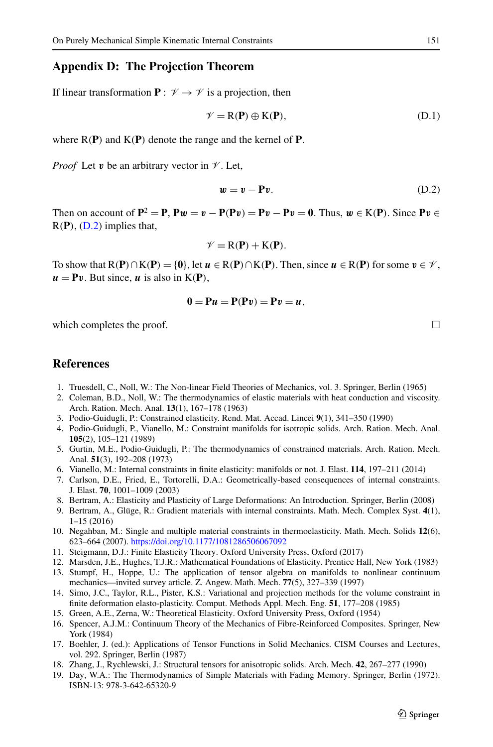### <span id="page-28-17"></span>**Appendix D: The Projection Theorem**

If linear transformation  $P: \mathcal{V} \rightarrow \mathcal{V}$  is a projection, then

<span id="page-28-20"></span>
$$
\mathscr{V} = R(\mathbf{P}) \oplus K(\mathbf{P}),\tag{D.1}
$$

where R*(***P***)* and K*(***P***)* denote the range and the kernel of **P**.

*Proof* Let  $v$  be an arbitrary vector in  $V$ . Let,

$$
w = v - Pv. \tag{D.2}
$$

Then on account of  $P^2 = P$ ,  $Pw = v - P(Pv) = Pv - Pv = 0$ . Thus,  $w \in K(P)$ . Since  $Pv \in$  $R(P)$ ,  $(D.2)$  $(D.2)$  implies that,

$$
\mathscr{V}=R(\mathbf{P})+K(\mathbf{P}).
$$

<span id="page-28-11"></span><span id="page-28-0"></span>To show that  $R(P) \cap K(P) = \{0\}$ , let  $u \in R(P) \cap K(P)$ . Then, since  $u \in R(P)$  for some  $v \in V$ ,  $u = Pv$ . But since, *u* is also in  $K(P)$ ,

$$
0 = Pu = P(Pv) = Pv = u,
$$

<span id="page-28-3"></span><span id="page-28-1"></span>which completes the proof.  $\Box$ 

# <span id="page-28-5"></span><span id="page-28-4"></span><span id="page-28-2"></span>**References**

- 1. Truesdell, C., Noll, W.: The Non-linear Field Theories of Mechanics, vol. 3. Springer, Berlin (1965)
- <span id="page-28-10"></span><span id="page-28-7"></span>2. Coleman, B.D., Noll, W.: The thermodynamics of elastic materials with heat conduction and viscosity. Arch. Ration. Mech. Anal. **13**(1), 167–178 (1963)
- 3. Podio-Guidugli, P.: Constrained elasticity. Rend. Mat. Accad. Lincei **9**(1), 341–350 (1990)
- <span id="page-28-8"></span>4. Podio-Guidugli, P., Vianello, M.: Constraint manifolds for isotropic solids. Arch. Ration. Mech. Anal. **105**(2), 105–121 (1989)
- <span id="page-28-6"></span>5. Gurtin, M.E., Podio-Guidugli, P.: The thermodynamics of constrained materials. Arch. Ration. Mech. Anal. **51**(3), 192–208 (1973)
- <span id="page-28-19"></span><span id="page-28-18"></span>6. Vianello, M.: Internal constraints in finite elasticity: manifolds or not. J. Elast. **114**, 197–211 (2014)
- <span id="page-28-9"></span>7. Carlson, D.E., Fried, E., Tortorelli, D.A.: Geometrically-based consequences of internal constraints. J. Elast. **70**, 1001–1009 (2003)
- 8. Bertram, A.: Elasticity and Plasticity of Large Deformations: An Introduction. Springer, Berlin (2008)
- 9. Bertram, A., Glüge, R.: Gradient materials with internal constraints. Math. Mech. Complex Syst. **4**(1), 1–15 (2016)
- <span id="page-28-14"></span><span id="page-28-13"></span><span id="page-28-12"></span>10. Negahban, M.: Single and multiple material constraints in thermoelasticity. Math. Mech. Solids **12**(6), 623–664 (2007). <https://doi.org/10.1177/1081286506067092>
- 11. Steigmann, D.J.: Finite Elasticity Theory. Oxford University Press, Oxford (2017)
- <span id="page-28-15"></span>12. Marsden, J.E., Hughes, T.J.R.: Mathematical Foundations of Elasticity. Prentice Hall, New York (1983)
- <span id="page-28-16"></span>13. Stumpf, H., Hoppe, U.: The application of tensor algebra on manifolds to nonlinear continuum mechanics—invited survey article. Z. Angew. Math. Mech. **77**(5), 327–339 (1997)
- 14. Simo, J.C., Taylor, R.L., Pister, K.S.: Variational and projection methods for the volume constraint in finite deformation elasto-plasticity. Comput. Methods Appl. Mech. Eng. **51**, 177–208 (1985)
- 15. Green, A.E., Zerna, W.: Theoretical Elasticity. Oxford University Press, Oxford (1954)
- 16. Spencer, A.J.M.: Continuum Theory of the Mechanics of Fibre-Reinforced Composites. Springer, New York (1984)
- 17. Boehler, J. (ed.): Applications of Tensor Functions in Solid Mechanics. CISM Courses and Lectures, vol. 292. Springer, Berlin (1987)
- 18. Zhang, J., Rychlewski, J.: Structural tensors for anisotropic solids. Arch. Mech. **42**, 267–277 (1990)
- 19. Day, W.A.: The Thermodynamics of Simple Materials with Fading Memory. Springer, Berlin (1972). ISBN-13: 978-3-642-65320-9